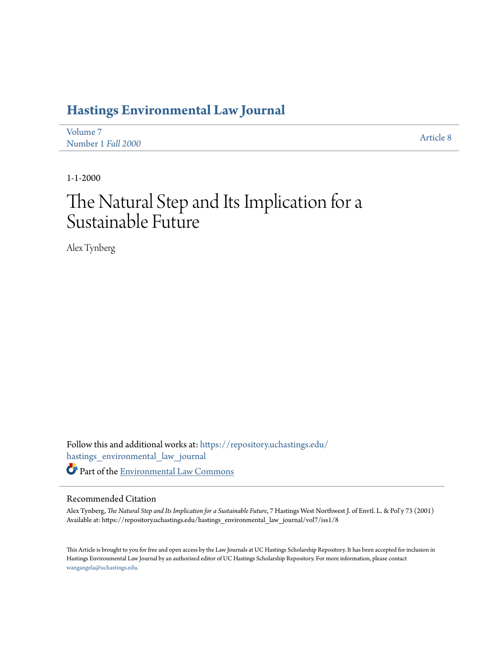# **[Hastings Environmental Law Journal](https://repository.uchastings.edu/hastings_environmental_law_journal?utm_source=repository.uchastings.edu%2Fhastings_environmental_law_journal%2Fvol7%2Fiss1%2F8&utm_medium=PDF&utm_campaign=PDFCoverPages)**

| Volume 7           | Article 8 |
|--------------------|-----------|
| Number 1 Fall 2000 |           |

1-1-2000

# The Natural Step and Its Implication for a Sustainable Future

Alex Tynberg

Follow this and additional works at: [https://repository.uchastings.edu/](https://repository.uchastings.edu/hastings_environmental_law_journal?utm_source=repository.uchastings.edu%2Fhastings_environmental_law_journal%2Fvol7%2Fiss1%2F8&utm_medium=PDF&utm_campaign=PDFCoverPages) [hastings\\_environmental\\_law\\_journal](https://repository.uchastings.edu/hastings_environmental_law_journal?utm_source=repository.uchastings.edu%2Fhastings_environmental_law_journal%2Fvol7%2Fiss1%2F8&utm_medium=PDF&utm_campaign=PDFCoverPages) Part of the [Environmental Law Commons](http://network.bepress.com/hgg/discipline/599?utm_source=repository.uchastings.edu%2Fhastings_environmental_law_journal%2Fvol7%2Fiss1%2F8&utm_medium=PDF&utm_campaign=PDFCoverPages)

### Recommended Citation

Alex Tynberg, *The Natural Step and Its Implication for a Sustainable Future*, 7 Hastings West Northwest J. of Envtl. L. & Pol'y 73 (2001) Available at: https://repository.uchastings.edu/hastings\_environmental\_law\_journal/vol7/iss1/8

This Article is brought to you for free and open access by the Law Journals at UC Hastings Scholarship Repository. It has been accepted for inclusion in Hastings Environmental Law Journal by an authorized editor of UC Hastings Scholarship Repository. For more information, please contact [wangangela@uchastings.edu](mailto:wangangela@uchastings.edu).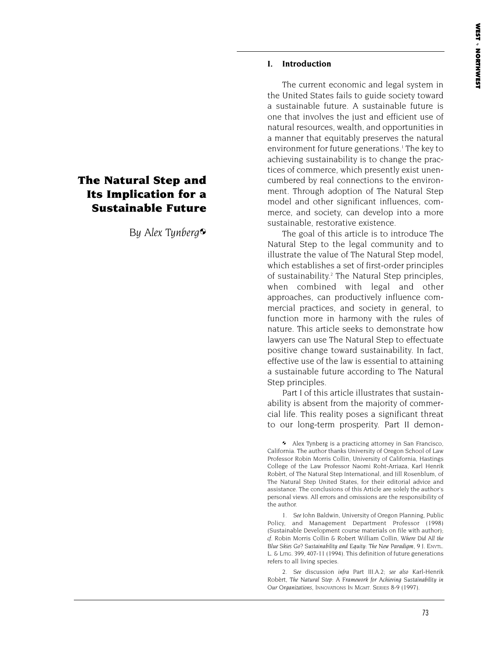### **I. Introduction**

The current economic and legal system in the United States fails to guide society toward a sustainable future. A sustainable future is one that involves the just and efficient use of natural resources, wealth, and opportunities in a manner that equitably preserves the natural environment for future generations.<sup>1</sup> The key to achieving sustainability is to change the practices of commerce, which presently exist unencumbered by real connections to the environment. Through adoption of The Natural Step model and other significant influences, commerce, and society, can develop into a more sustainable, restorative existence.

The goal of this article is to introduce The Natural Step to the legal community and to illustrate the value of The Natural Step model, which establishes a set of first-order principles of sustainability.2 The Natural Step principles, when combined with legal and other approaches, can productively influence commercial practices, and society in general, to function more in harmony with the rules of nature. This article seeks to demonstrate how lawyers can use The Natural Step to effectuate positive change toward sustainability. In fact, effective use of the law is essential to attaining a sustainable future according to The Natural Step principles.

Part I of this article illustrates that sustainability is absent from the majority of commercial life. This reality poses a significant threat to our long-term prosperity. Part II demon-

 Alex Tynberg is a practicing attorney in San Francisco, California. The author thanks University of Oregon School of Law Professor Robin Morris Collin, University of California, Hastings College of the Law Professor Naomi Roht-Arriaza, Karl Henrik Robèrt, of The Natural Step International, and Jill Rosenblum, of The Natural Step United States, for their editorial advice and assistance. The conclusions of this Article are solely the author's personal views. All errors and omissions are the responsibility of the author.

1. *See* John Baldwin, University of Oregon Planning, Public Policy, and Management Department Professor (1998) (Sustainable Development course materials on file with author); *cf*. Robin Morris Collin & Robert William Collin, *Where Did All the Blue Skies Go? Sustainability and Equity: The New Paradigm,* 9 J. ENVTL. L. & LITIG. 399, 407-11 (1994). This definition of future generations refers to all living species.

2. *See* discussion *infra* Part III.A.2; *see also* Karl-Henrik Robèrt, *The Natural Step: A Framework for Achieving Sustainability in Our Organizations,* INNOVATIONS IN MGMT. SERIES 8-9 (1997).

## **The Natural Step and Its Implication for a Sustainable Future**

*By Alex Tynberg*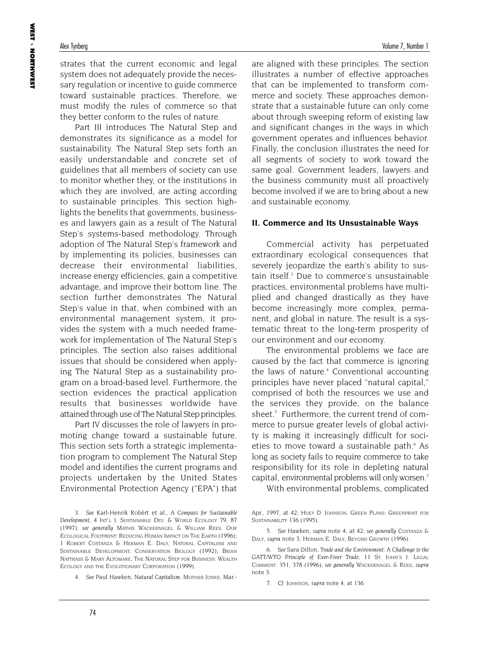strates that the current economic and legal system does not adequately provide the necessary regulation or incentive to guide commerce toward sustainable practices. Therefore, we must modify the rules of commerce so that they better conform to the rules of nature.

Part III introduces The Natural Step and demonstrates its significance as a model for sustainability. The Natural Step sets forth an easily understandable and concrete set of guidelines that all members of society can use to monitor whether they, or the institutions in which they are involved, are acting according to sustainable principles. This section highlights the benefits that governments, businesses and lawyers gain as a result of The Natural Step's systems-based methodology. Through adoption of The Natural Step's framework and by implementing its policies, businesses can decrease their environmental liabilities, increase energy efficiencies, gain a competitive advantage, and improve their bottom line. The section further demonstrates The Natural Step's value in that, when combined with an environmental management system, it provides the system with a much needed framework for implementation of The Natural Step's principles. The section also raises additional issues that should be considered when applying The Natural Step as a sustainability program on a broad-based level. Furthermore, the section evidences the practical application results that businesses worldwide have attained through use of The Natural Step principles.

Part IV discusses the role of lawyers in promoting change toward a sustainable future. This section sets forth a strategic implementation program to complement The Natural Step model and identifies the current programs and projects undertaken by the United States Environmental Protection Agency ("EPA") that

are aligned with these principles. The section illustrates a number of effective approaches that can be implemented to transform commerce and society. These approaches demonstrate that a sustainable future can only come about through sweeping reform of existing law and significant changes in the ways in which government operates and influences behavior. Finally, the conclusion illustrates the need for all segments of society to work toward the same goal. Government leaders, lawyers and the business community must all proactively become involved if we are to bring about a new and sustainable economy.

### **II. Commerce and Its Unsustainable Ways**

Commercial activity has perpetuated extraordinary ecological consequences that severely jeopardize the earth's ability to sustain itself.<sup>3</sup> Due to commerce's unsustainable practices, environmental problems have multiplied and changed drastically as they have become increasingly more complex, permanent, and global in nature. The result is a systematic threat to the long-term prosperity of our environment and our economy.

The environmental problems we face are caused by the fact that commerce is ignoring the laws of nature.<sup>4</sup> Conventional accounting principles have never placed "natural capital," comprised of both the resources we use and the services they provide, on the balance sheet.<sup>5</sup> Furthermore, the current trend of commerce to pursue greater levels of global activity is making it increasingly difficult for societies to move toward a sustainable path.<sup>6</sup> As long as society fails to require commerce to take responsibility for its role in depleting natural capital, environmental problems will only worsen.7

With environmental problems, complicated

<sup>3.</sup> *See* Karl-Henrik Robèrt et al., *A Compass for Sustainable Development,* 4 INT'L J. SUSTAINABLE DEV. & WORLD ECOLOGY 79, 87 (1997); *see generally* MATHIS WACKERNAGEL & WILLIAM REES, OUR ECOLOGICAL FOOTPRINT: REDUCING HUMAN IMPACT ON THE EARTH (1996); 1 ROBERT COSTANZA & HERMAN E. DALY, NATURAL CAPITALISM AND SUSTAINABLE DEVELOPMENT, CONSERVATION BIOLOGY (1992); BRIAN NATTRASS & MARY ALTOMARE, THE NATURAL STEP FOR BUSINESS: WEALTH ECOLOGY AND THE EVOLUTIONARY CORPORATION (1999).

<sup>4.</sup> *See* Paul Hawken, *Natural Capitalism*, MOTHER JONES, Mar.-

Apr., 1997, at 42; HUEY D. JOHNSON, GREEN PLANS: GREENPRINT FOR SUSTAINABILITY 136 (1995).

<sup>5.</sup> *See* Hawken, *supra* note 4, at 42; *see generally* COSTANZA & DALY, *supra* note 3; HERMAN E. DALY, BEYOND GROWTH (1996).

<sup>6.</sup> *See* Sara Dillon, *Trade and the Environment: A Challenge to the GATT/WTO Principle of Ever-Freer Trade,* 11 ST. JOHN'S J. LEGAL COMMENT. 351, 378 (1996); *see generally* WACKERNAGEL & REES, *supra* note 3.

<sup>7.</sup> *Cf*. JOHNSON, *supra* note 4, at 136.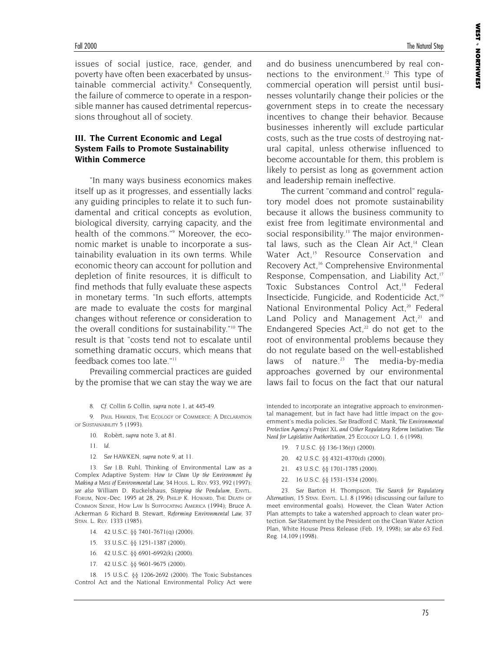issues of social justice, race, gender, and poverty have often been exacerbated by unsustainable commercial activity.<sup>8</sup> Consequently, the failure of commerce to operate in a responsible manner has caused detrimental repercussions throughout all of society.

### **III. The Current Economic and Legal System Fails to Promote Sustainability Within Commerce**

"In many ways business economics makes itself up as it progresses, and essentially lacks any guiding principles to relate it to such fundamental and critical concepts as evolution, biological diversity, carrying capacity, and the health of the commons."9 Moreover, the economic market is unable to incorporate a sustainability evaluation in its own terms. While economic theory can account for pollution and depletion of finite resources, it is difficult to find methods that fully evaluate these aspects in monetary terms. "In such efforts, attempts are made to evaluate the costs for marginal changes without reference or consideration to the overall conditions for sustainability."10 The result is that "costs tend not to escalate until something dramatic occurs, which means that feedback comes too late."11

Prevailing commercial practices are guided by the promise that we can stay the way we are

8. *Cf*. Collin & Collin, *supra* note 1, at 445-49.

9. PAUL HAWKEN, THE ECOLOGY OF COMMERCE: A DECLARATION OF SUSTAINABILITY 5 (1993).

- 10. Robèrt, *supra* note 3, at 81.
- 11. *Id*.
- 12. *See* HAWKEN, *supra* note 9, at 11.

13. *See* J.B. Ruhl, Thinking of Environmental Law as a Complex Adaptive System: *How to Clean Up the Environment by Making a Mess of Environmental Law,* 34 HOUS. L. REV. 933, 992 (1997); *see also* William D. Ruckelshaus, *Stopping the Pendulum,* ENVTL. FORUM, Nov.-Dec. 1995 at 28, 29; PHILIP K. HOWARD, THE DEATH OF COMMON SENSE, HOW LAW IS SUFFOCATING AMERICA (1994); Bruce A. Ackerman & Richard B. Stewart, *Reforming Environmental Law,* 37 STAN. L. REV. 1333 (1985).

- 14. 42 U.S.C. §§ 7401-7671(q) (2000).
- 15. 33 U.S.C. §§ 1251-1387 (2000).
- 16. 42 U.S.C. §§ 6901-6992(k) (2000).
- 17. 42 U.S.C. §§ 9601-9675 (2000).

18. 15 U.S.C. §§ 1206-2692 (2000). The Toxic Substances Control Act and the National Environmental Policy Act were

and do business unencumbered by real connections to the environment.<sup>12</sup> This type of commercial operation will persist until businesses voluntarily change their policies or the government steps in to create the necessary incentives to change their behavior. Because businesses inherently will exclude particular costs, such as the true costs of destroying natural capital, unless otherwise influenced to become accountable for them, this problem is likely to persist as long as government action and leadership remain ineffective.

The current "command and control" regulatory model does not promote sustainability because it allows the business community to exist free from legitimate environmental and social responsibility.<sup>13</sup> The major environmental laws, such as the Clean Air Act,<sup>14</sup> Clean Water Act.<sup>15</sup> Resource Conservation and Recovery Act,<sup>16</sup> Comprehensive Environmental Response, Compensation, and Liability Act,<sup>17</sup> Toxic Substances Control Act,<sup>18</sup> Federal Insecticide, Fungicide, and Rodenticide Act,<sup>19</sup> National Environmental Policy Act,<sup>20</sup> Federal Land Policy and Management  $Act.^{21}$  and Endangered Species Act, $22$  do not get to the root of environmental problems because they do not regulate based on the well-established laws of nature. $23$  The media-by-media approaches governed by our environmental laws fail to focus on the fact that our natural

intended to incorporate an integrative approach to environmental management, but in fact have had little impact on the government's media policies. *See* Bradford C. Mank, *The Environmental Protection Agency's Project XL and Other Regulatory Reform Initiatives: The Need for Legislative Authorization,* 25 ECOLOGY L.Q. 1, 6 (1998).

- 19. 7 U.S.C. §§ 136-136(y) (2000).
- 20. 42 U.S.C. §§ 4321-4370(d) (2000).
- 21. 43 U.S.C. §§ 1701-1785 (2000).
- 22. 16 U.S.C. §§ 1531-1534 (2000).

23. *See* Barton H. Thompson, *The Search for Regulatory Alternatives*, 15 STAN. ENVTL. L.J. 8 (1996) (discussing our failure to meet environmental goals). However, the Clean Water Action Plan attempts to take a watershed approach to clean water protection. *See* Statement by the President on the Clean Water Action Plan, White House Press Release (Feb. 19, 1998); *see also* 63 Fed. Reg. 14,109 (1998).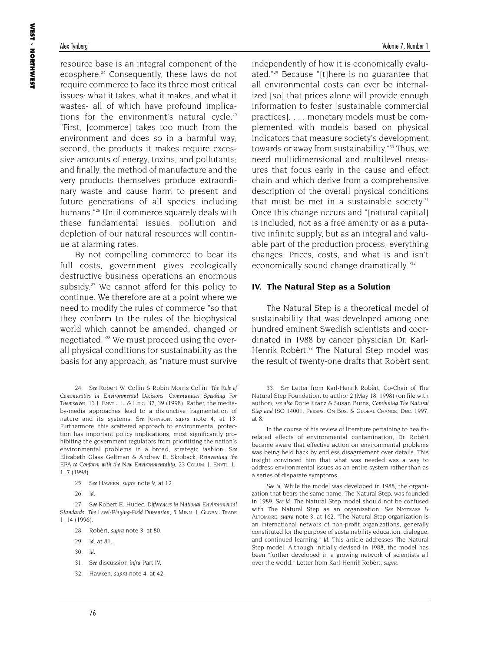resource base is an integral component of the ecosphere.<sup>24</sup> Consequently, these laws do not require commerce to face its three most critical issues: what it takes, what it makes, and what it wastes- all of which have profound implications for the environment's natural cycle.<sup>25</sup> "First, [commerce] takes too much from the environment and does so in a harmful way; second, the products it makes require excessive amounts of energy, toxins, and pollutants; and finally, the method of manufacture and the very products themselves produce extraordinary waste and cause harm to present and future generations of all species including humans."26 Until commerce squarely deals with these fundamental issues, pollution and depletion of our natural resources will continue at alarming rates.

By not compelling commerce to bear its full costs, government gives ecologically destructive business operations an enormous subsidy.<sup>27</sup> We cannot afford for this policy to continue. We therefore are at a point where we need to modify the rules of commerce "so that they conform to the rules of the biophysical world which cannot be amended, changed or negotiated."28 We must proceed using the overall physical conditions for sustainability as the basis for any approach, as "nature must survive

24. *See* Robert W. Collin & Robin Morris Collin, *The Role of Communities in Environmental Decisions: Communities Speaking For Themselves,* 13 J. ENVTL. L. & LITIG. 37, 39 (1998). Rather, the mediaby-media approaches lead to a disjunctive fragmentation of nature and its systems. *See* JOHNSON, *supra* note 4, at 13. Furthermore, this scattered approach to environmental protection has important policy implications, most significantly prohibiting the government regulators from prioritizing the nation's environmental problems in a broad, strategic fashion. *See* Elizabeth Glass Geltman & Andrew E. Skroback, *Reinventing the EPA to Conform with the New Environmentality,* 23 COLUM. J. ENVTL. L. 1, 7 (1998).

25. *See* HAWKEN, *supra* note 9, at 12.

26. *Id*.

27. *See* Robert E. Hudec, *Differences in National Environmental Standards: The Level-Playing-Field Dimension,* 5 MINN. J. GLOBAL TRADE 1, 14 (1996).

- 28. Robèrt, *supra* note 3, at 80.
- 29. *Id*. at 81.
- 30. *Id*.
- 31. *See* discussion *infra* Part IV.

independently of how it is economically evaluated."29 Because "[t]here is no guarantee that all environmental costs can ever be internalized [so] that prices alone will provide enough information to foster [sustainable commercial practices]. . . . monetary models must be complemented with models based on physical indicators that measure society's development towards or away from sustainability."<sup>30</sup> Thus, we need multidimensional and multilevel measures that focus early in the cause and effect chain and which derive from a comprehensive description of the overall physical conditions that must be met in a sustainable society.<sup>31</sup> Once this change occurs and "[natural capital] is included, not as a free amenity or as a putative infinite supply, but as an integral and valuable part of the production process, everything changes. Prices, costs, and what is and isn't economically sound change dramatically."<sup>32</sup>

### **IV. The Natural Step as a Solution**

The Natural Step is a theoretical model of sustainability that was developed among one hundred eminent Swedish scientists and coordinated in 1988 by cancer physician Dr. Karl-Henrik Robèrt.<sup>33</sup> The Natural Step model was the result of twenty-one drafts that Robèrt sent

In the course of his review of literature pertaining to healthrelated effects of environmental contamination, Dr. Robèrt became aware that effective action on environmental problems was being held back by endless disagreement over details. This insight convinced him that what was needed was a way to address environmental issues as an entire system rather than as a series of disparate symptoms.

*See id*. While the model was developed in 1988, the organization that bears the same name, The Natural Step, was founded in 1989. *See id*. The Natural Step model should not be confused with The Natural Step as an organization. *See* NATTRASS & ALTOMORE, *supra* note 3, at 162. "The Natural Step organization is an international network of non-profit organizations, generally constituted for the purpose of sustainability education, dialogue, and continued learning." *Id*. This article addresses The Natural Step model. Although initially devised in 1988, the model has been "further developed in a growing network of scientists all over the world." Letter from Karl-Henrik Robèrt, *supra*.

<sup>32.</sup> Hawken, *supra* note 4, at 42.

<sup>33.</sup> *See* Letter from Karl-Henrik Robèrt, Co-Chair of The Natural Step Foundation, to author 2 (May 18, 1998) (on file with author); *see also* Dorie Kranz & Susan Burns, *Combining The Natural Step and ISO 14001,* PERSPS. ON BUS. & GLOBAL CHANGE, Dec. 1997, at 8.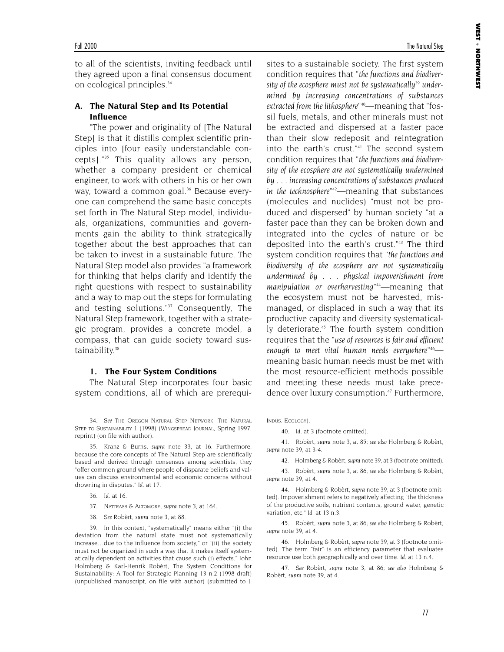to all of the scientists, inviting feedback until they agreed upon a final consensus document on ecological principles.<sup>34</sup>

### **A. The Natural Step and Its Potential Influence**

"The power and originality of [The Natural Step] is that it distills complex scientific principles into [four easily understandable concepts]."35 This quality allows any person, whether a company president or chemical engineer, to work with others in his or her own way, toward a common goal.<sup>36</sup> Because everyone can comprehend the same basic concepts set forth in The Natural Step model, individuals, organizations, communities and governments gain the ability to think strategically together about the best approaches that can be taken to invest in a sustainable future. The Natural Step model also provides "a framework for thinking that helps clarify and identify the right questions with respect to sustainability and a way to map out the steps for formulating and testing solutions."<sup>37</sup> Consequently, The Natural Step framework, together with a strategic program, provides a concrete model, a compass, that can guide society toward sustainability.<sup>38</sup>

### **1. The Four System Conditions**

The Natural Step incorporates four basic system conditions, all of which are prerequi-

34. *See* THE OREGON NATURAL STEP NETWORK, THE NATURAL STEP TO SUSTAINABILITY 1 (1998) (WINGSPREAD JOURNAL, Spring 1997, reprint) (on file with author).

35. Kranz & Burns, *supra* note 33, at 16. Furthermore, because the core concepts of The Natural Step are scientifically based and derived through consensus among scientists, they "offer common ground where people of disparate beliefs and values can discuss environmental and economic concerns without drowning in disputes." *Id*. at 17.

- 36. *Id*. at 16.
- 37. NATTRASS & ALTOMORE, *supra* note 3, at 164.
- 38. *See* Robèrt, *supra* note 3, at 88.

39. In this context, "systematically" means either "(i) the deviation from the natural state must not systematically increase…due to the influence from society," or "(ii) the society must not be organized in such a way that it makes itself systematically dependent on activities that cause such (i) effects." John Holmberg & Karl-Henrik Robèrt, The System Conditions for Sustainability: A Tool for Strategic Planning 13 n.2 (1998 draft) (unpublished manuscript, on file with author) (submitted to J.

**WEST** 

NORTHWEST

sites to a sustainable society. The first system condition requires that "*the functions and biodiver*sity of the ecosphere must not be systematically<sup>39</sup> under*mined by increasing concentrations of substances extracted from the lithosphere*" 40—meaning that "fossil fuels, metals, and other minerals must not be extracted and dispersed at a faster pace than their slow redeposit and reintegration into the earth's crust."41 The second system condition requires that "*the functions and biodiversity of the ecosphere are not systematically undermined by . . . increasing concentrations of substances produced in the technosphere*" 42—meaning that substances (molecules and nuclides) "must not be produced and dispersed" by human society "at a faster pace than they can be broken down and integrated into the cycles of nature or be deposited into the earth's crust."43 The third system condition requires that "*the functions and biodiversity of the ecosphere are not systematically undermined by . . . physical impoverishment from manipulation or overharvesting*" 44—meaning that the ecosystem must not be harvested, mismanaged, or displaced in such a way that its productive capacity and diversity systematically deteriorate.<sup>45</sup> The fourth system condition requires that the "*use of resources is fair and efficient enough to meet vital human needs everywhere*" 46 meaning basic human needs must be met with the most resource-efficient methods possible and meeting these needs must take precedence over luxury consumption.<sup>47</sup> Furthermore,

INDUS. ECOLOGY).

40. *Id*. at 3 (footnote omitted).

41. Robèrt, *supra* note 3, at 85; *see also* Holmberg & Robèrt, *supra* note 39, at 3-4.

42. Holmberg & Robèrt, *supra* note 39, at 3 (footnote omitted).

43. Robèrt, *supra* note 3, at 86; *see also* Holmberg & Robèrt, *supra* note 39, at 4.

44. Holmberg & Robèrt, *supra* note 39, at 3 (footnote omitted). Impoverishment refers to negatively affecting "the thickness of the productive soils, nutrient contents, ground water, genetic variation, etc." *Id*. at 13 n.3.

45. Robèrt, *supra* note 3, at 86; *see also* Holmberg & Robèrt, *supra* note 39, at 4.

46. Holmberg & Robèrt, *supra* note 39, at 3 (footnote omitted). The term "fair" is an efficiency parameter that evaluates resource use both geographically and over time. *Id*. at 13 n.4.

47. *See* Robèrt, *supra* note 3, at 86; *see also* Holmberg & Robèrt, *supra* note 39, at 4.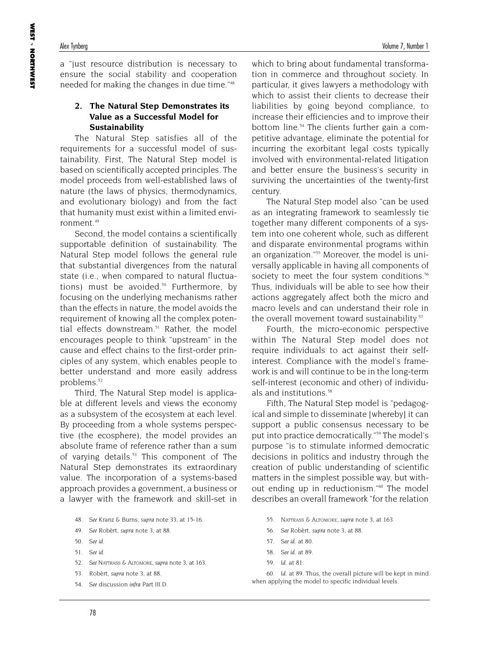a "just resource distribution is necessary to ensure the social stability and cooperation needed for making the changes in due time."48

### **2. The Natural Step Demonstrates its Value as a Successful Model for Sustainability**

The Natural Step satisfies all of the requirements for a successful model of sustainability. First, The Natural Step model is based on scientifically accepted principles. The model proceeds from well-established laws of nature (the laws of physics, thermodynamics, and evolutionary biology) and from the fact that humanity must exist within a limited environment.<sup>49</sup>

Second, the model contains a scientifically supportable definition of sustainability. The Natural Step model follows the general rule that substantial divergences from the natural state (i.e., when compared to natural fluctuations) must be avoided.<sup>50</sup> Furthermore, by focusing on the underlying mechanisms rather than the effects in nature, the model avoids the requirement of knowing all the complex potential effects downstream.<sup>51</sup> Rather, the model encourages people to think "upstream" in the cause and effect chains to the first-order principles of any system, which enables people to better understand and more easily address problems.<sup>52</sup>

Third, The Natural Step model is applicable at different levels and views the economy as a subsystem of the ecosystem at each level. By proceeding from a whole systems perspective (the ecosphere), the model provides an absolute frame of reference rather than a sum of varying details.<sup>53</sup> This component of The Natural Step demonstrates its extraordinary value. The incorporation of a systems-based approach provides a government, a business or a lawyer with the framework and skill-set in

- 48. *See* Kranz & Burns, *supra* note 33, at 15-16.
- 49. *See* Robèrt, *supra* note 3, at 88.
- 50. *See id*.
- 51. *See id*.
- 52. *See* NATTRASS & ALTOMORE, *supra* note 3, at 163.
- 53. Robèrt, *supra* note 3, at 88.
- 54. *See* discussion *infra* Part III.D.

which to bring about fundamental transformation in commerce and throughout society. In particular, it gives lawyers a methodology with which to assist their clients to decrease their liabilities by going beyond compliance, to increase their efficiencies and to improve their bottom line.<sup>54</sup> The clients further gain a competitive advantage, eliminate the potential for incurring the exorbitant legal costs typically involved with environmental-related litigation and better ensure the business's security in surviving the uncertainties of the twenty-first century.

The Natural Step model also "can be used as an integrating framework to seamlessly tie together many different components of a system into one coherent whole, such as different and disparate environmental programs within an organization."55 Moreover, the model is universally applicable in having all components of society to meet the four system conditions.<sup>56</sup> Thus, individuals will be able to see how their actions aggregately affect both the micro and macro levels and can understand their role in the overall movement toward sustainability.<sup>57</sup>

Fourth, the micro-economic perspective within The Natural Step model does not require individuals to act against their selfinterest. Compliance with the model's framework is and will continue to be in the long-term self-interest (economic and other) of individuals and institutions.<sup>58</sup>

Fifth, The Natural Step model is "pedagogical and simple to disseminate [whereby] it can support a public consensus necessary to be put into practice democratically."59 The model's purpose "is to stimulate informed democratic decisions in politics and industry through the creation of public understanding of scientific matters in the simplest possible way, but without ending up in reductionism."<sup>60</sup> The model describes an overall framework "for the relation

- 55. NATTRASS & ALTOMORE, *supra* note 3, at 163.
- 56. *See* Robèrt, *supra* note 3, at 88.
- 57. *See id*. at 80.
- 58. *See id*. at 89.
- 59. *Id*. at 81.

60. *Id*. at 89. Thus, the overall picture will be kept in mind when applying the model to specific individual levels.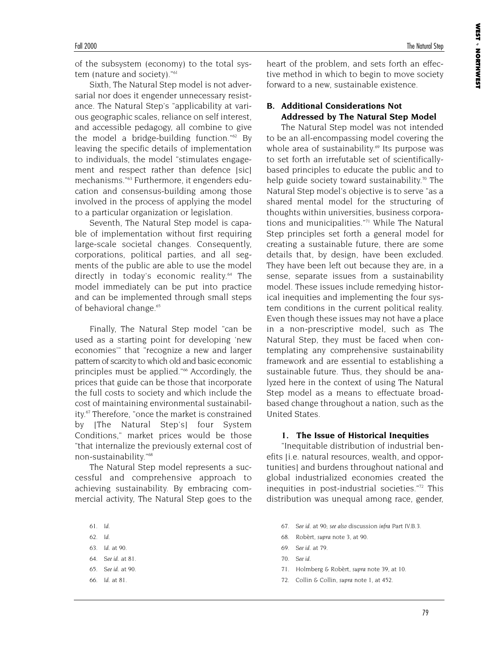of the subsystem (economy) to the total system (nature and society)."<sup>61</sup>

Sixth, The Natural Step model is not adversarial nor does it engender unnecessary resistance. The Natural Step's "applicability at various geographic scales, reliance on self interest, and accessible pedagogy, all combine to give the model a bridge-building function."62 By leaving the specific details of implementation to individuals, the model "stimulates engagement and respect rather than defence [sic] mechanisms."63 Furthermore, it engenders education and consensus-building among those involved in the process of applying the model to a particular organization or legislation.

Seventh, The Natural Step model is capable of implementation without first requiring large-scale societal changes. Consequently, corporations, political parties, and all segments of the public are able to use the model directly in today's economic reality.<sup>64</sup> The model immediately can be put into practice and can be implemented through small steps of behavioral change.<sup>65</sup>

Finally, The Natural Step model "can be used as a starting point for developing 'new economies'" that "recognize a new and larger pattern of scarcity to which old and basic economic principles must be applied."<sup>66</sup> Accordingly, the prices that guide can be those that incorporate the full costs to society and which include the cost of maintaining environmental sustainability.<sup>67</sup> Therefore, "once the market is constrained by [The Natural Step's] four System Conditions," market prices would be those "that internalize the previously external cost of non-sustainability."68

The Natural Step model represents a successful and comprehensive approach to achieving sustainability. By embracing commercial activity, The Natural Step goes to the

- 61. *Id*.
- 62. *Id*.
- 63. *Id*. at 90.
- 64. *See id*. at 81.
- 65. *See id*. at 90.
- 66. *Id*. at 81.

heart of the problem, and sets forth an effective method in which to begin to move society forward to a new, sustainable existence.

### **B. Additional Considerations Not Addressed by The Natural Step Model**

The Natural Step model was not intended to be an all-encompassing model covering the whole area of sustainability.<sup>69</sup> Its purpose was to set forth an irrefutable set of scientificallybased principles to educate the public and to help guide society toward sustainability.<sup>70</sup> The Natural Step model's objective is to serve "as a shared mental model for the structuring of thoughts within universities, business corporations and municipalities."71 While The Natural Step principles set forth a general model for creating a sustainable future, there are some details that, by design, have been excluded. They have been left out because they are, in a sense, separate issues from a sustainability model. These issues include remedying historical inequities and implementing the four system conditions in the current political reality. Even though these issues may not have a place in a non-prescriptive model, such as The Natural Step, they must be faced when contemplating any comprehensive sustainability framework and are essential to establishing a sustainable future. Thus, they should be analyzed here in the context of using The Natural Step model as a means to effectuate broadbased change throughout a nation, such as the United States.

### **1. The Issue of Historical Inequities**

"Inequitable distribution of industrial benefits [i.e. natural resources, wealth, and opportunities] and burdens throughout national and global industrialized economies created the inequities in post-industrial societies."<sup>72</sup> This distribution was unequal among race, gender,

- 67. *See id*. at 90; *see also* discussion *infra* Part IV.B.3.
- 68. Robèrt, *supra* note 3, at 90.
- 69. *See id*. at 79.
- 70. *See id*.
- 71. Holmberg & Robèrt, *supra* note 39, at 10.
- 72. Collin & Collin, *supra* note 1, at 452.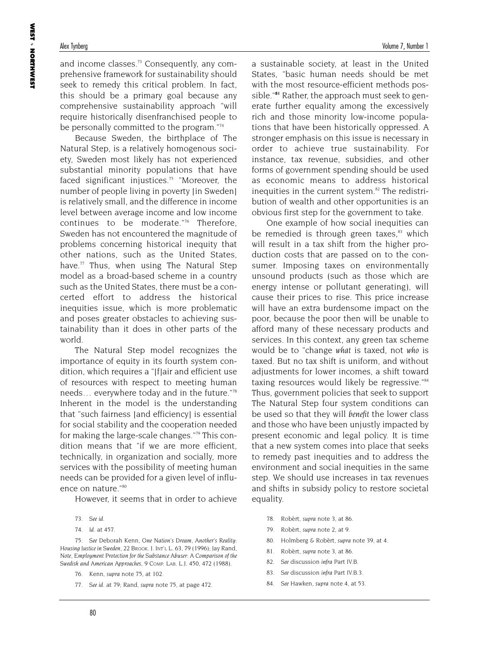and income classes.<sup>73</sup> Consequently, any comprehensive framework for sustainability should seek to remedy this critical problem. In fact, this should be a primary goal because any comprehensive sustainability approach "will require historically disenfranchised people to be personally committed to the program."<sup>74</sup>

Because Sweden, the birthplace of The Natural Step, is a relatively homogenous society, Sweden most likely has not experienced substantial minority populations that have faced significant injustices.<sup>75</sup> "Moreover, the number of people living in poverty [in Sweden] is relatively small, and the difference in income level between average income and low income continues to be moderate."76 Therefore, Sweden has not encountered the magnitude of problems concerning historical inequity that other nations, such as the United States, have. $77$  Thus, when using The Natural Step model as a broad-based scheme in a country such as the United States, there must be a concerted effort to address the historical inequities issue, which is more problematic and poses greater obstacles to achieving sustainability than it does in other parts of the world.

The Natural Step model recognizes the importance of equity in its fourth system condition, which requires a "[f]air and efficient use of resources with respect to meeting human needs… everywhere today and in the future."78 Inherent in the model is the understanding that "such fairness [and efficiency] is essential for social stability and the cooperation needed for making the large-scale changes."79 This condition means that "if we are more efficient, technically, in organization and socially, more services with the possibility of meeting human needs can be provided for a given level of influence on nature."80

However, it seems that in order to achieve

74. *Id*. at 457.

75. *See* Deborah Kenn, *One Nation's Dream, Another's Reality: Housing Justice in Sweden,* 22 BROOK. J. INT'L L. 63, 79 (1996); Jay Rand, *Note, Employment Protection for the Substance Abuser: A Comparison of the Swedish and American Approaches,* 9 COMP. LAB. L.J. 450, 472 (1988).

76. Kenn, *supra* note 75, at 102.

77. *See id*. at 79; Rand, *supra* note 75, at page 472.

a sustainable society, at least in the United States, "basic human needs should be met with the most resource-efficient methods possible."**<sup>81</sup>** Rather, the approach must seek to generate further equality among the excessively rich and those minority low-income populations that have been historically oppressed. A stronger emphasis on this issue is necessary in order to achieve true sustainability. For instance, tax revenue, subsidies, and other forms of government spending should be used as economic means to address historical inequities in the current system.<sup>82</sup> The redistribution of wealth and other opportunities is an obvious first step for the government to take.

One example of how social inequities can be remedied is through green taxes, $83$  which will result in a tax shift from the higher production costs that are passed on to the consumer. Imposing taxes on environmentally unsound products (such as those which are energy intense or pollutant generating), will cause their prices to rise. This price increase will have an extra burdensome impact on the poor, because the poor then will be unable to afford many of these necessary products and services. In this context, any green tax scheme would be to "change *what* is taxed, not *who* is taxed. But no tax shift is uniform, and without adjustments for lower incomes, a shift toward taxing resources would likely be regressive."84 Thus, government policies that seek to support The Natural Step four system conditions can be used so that they will *benefit* the lower class and those who have been unjustly impacted by present economic and legal policy. It is time that a new system comes into place that seeks to remedy past inequities and to address the environment and social inequities in the same step. We should use increases in tax revenues and shifts in subsidy policy to restore societal equality.

- 78. Robèrt, *supra* note 3, at 86.
- 79. Robèrt, *supra* note 2, at 9.
- 80. Holmberg & Robèrt, *supra* note 39, at 4.
- 81. Robèrt, *supra* note 3, at 86.
- 82. *See* discussion *infra* Part IV.B.
- 83. *See* discussion *infra* Part IV.B.3.
- 84. *See* Hawken, *supra* note 4, at 53.

<sup>73.</sup> *See id*.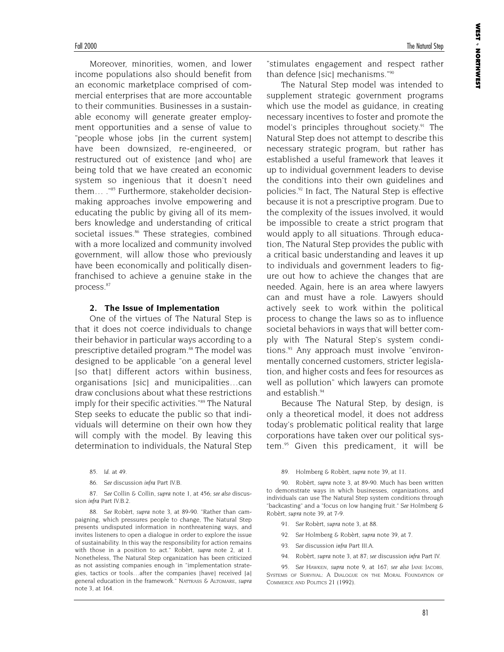Moreover, minorities, women, and lower income populations also should benefit from an economic marketplace comprised of commercial enterprises that are more accountable to their communities. Businesses in a sustainable economy will generate greater employment opportunities and a sense of value to "people whose jobs (in the current system) have been downsized, re-engineered, or restructured out of existence [and who] are being told that we have created an economic system so ingenious that it doesn't need them… ."85 Furthermore, stakeholder decisionmaking approaches involve empowering and educating the public by giving all of its members knowledge and understanding of critical societal issues.<sup>86</sup> These strategies, combined with a more localized and community involved government, will allow those who previously have been economically and politically disenfranchised to achieve a genuine stake in the process.87

### **2. The Issue of Implementation**

One of the virtues of The Natural Step is that it does not coerce individuals to change their behavior in particular ways according to a prescriptive detailed program.<sup>88</sup> The model was designed to be applicable "on a general level [so that] different actors within business, organisations [sic] and municipalities…can draw conclusions about what these restrictions imply for their specific activities."<sup>89</sup> The Natural Step seeks to educate the public so that individuals will determine on their own how they will comply with the model. By leaving this determination to individuals, the Natural Step

87. *See* Collin & Collin, *supra* note 1, at 456; *see also* discussion *infra* Part IV.B.2.

88. *See* Robèrt, *supra* note 3, at 89-90. "Rather than campaigning, which pressures people to change, The Natural Step presents undisputed information in nonthreatening ways, and invites listeners to open a dialogue in order to explore the issue of sustainability. In this way the responsibility for action remains with those in a position to act." Robèrt, *supra* note 2, at 1. Nonetheless, The Natural Step organization has been criticized as not assisting companies enough in "implementation strategies, tactics or tools…after the companies [have] received [a] general education in the framework." NATTRASS & ALTOMARE, *supra* note 3, at 164.

**WEST** 

NORTHWEST

"stimulates engagement and respect rather than defence [sic] mechanisms."90

The Natural Step model was intended to supplement strategic government programs which use the model as guidance, in creating necessary incentives to foster and promote the model's principles throughout society.<sup>91</sup> The Natural Step does not attempt to describe this necessary strategic program, but rather has established a useful framework that leaves it up to individual government leaders to devise the conditions into their own guidelines and policies.92 In fact, The Natural Step is effective because it is not a prescriptive program. Due to the complexity of the issues involved, it would be impossible to create a strict program that would apply to all situations. Through education, The Natural Step provides the public with a critical basic understanding and leaves it up to individuals and government leaders to figure out how to achieve the changes that are needed. Again, here is an area where lawyers can and must have a role. Lawyers should actively seek to work within the political process to change the laws so as to influence societal behaviors in ways that will better comply with The Natural Step's system conditions.<sup>93</sup> Any approach must involve "environmentally concerned customers, stricter legislation, and higher costs and fees for resources as well as pollution" which lawyers can promote and establish.<sup>94</sup>

Because The Natural Step, by design, is only a theoretical model, it does not address today's problematic political reality that large corporations have taken over our political system.95 Given this predicament, it will be

89. Holmberg & Robèrt, *supra* note 39, at 11.

90. Robèrt, *supra* note 3, at 89-90. Much has been written to demonstrate ways in which businesses, organizations, and individuals can use The Natural Step system conditions through "backcasting" and a "focus on low hanging fruit." *See* Holmberg & Robèrt, *supra* note 39, at 7-9.

- 91. *See* Robèrt, *supra* note 3, at 88.
- 92. *See* Holmberg & Robèrt, *supra* note 39, at 7.
- 93. *See* discussion *infra* Part III.A.
- 94. Robèrt, *supra* note 3, at 87; *see* discussion *infra* Part IV.

95. *See* HAWKEN, *supra* note 9, at 167; *see also* JANE JACOBS, SYSTEMS OF SURVIVAL: A DIALOGUE ON THE MORAL FOUNDATION OF COMMERCE AND POLITICS 21 (1992).

<sup>85.</sup> *Id*. at 49.

<sup>86.</sup> *See* discussion *infra* Part IV.B.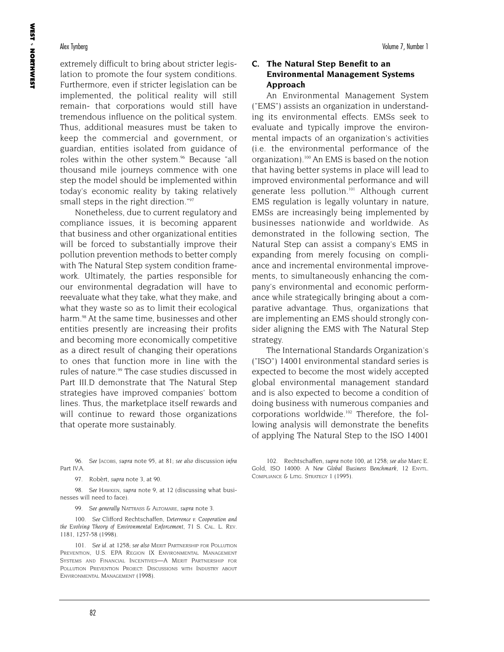extremely difficult to bring about stricter legislation to promote the four system conditions. Furthermore, even if stricter legislation can be implemented, the political reality will still remain- that corporations would still have tremendous influence on the political system. Thus, additional measures must be taken to keep the commercial and government, or guardian, entities isolated from guidance of roles within the other system.<sup>96</sup> Because "all thousand mile journeys commence with one step the model should be implemented within today's economic reality by taking relatively small steps in the right direction."<sup>97</sup>

Nonetheless, due to current regulatory and compliance issues, it is becoming apparent that business and other organizational entities will be forced to substantially improve their pollution prevention methods to better comply with The Natural Step system condition framework. Ultimately, the parties responsible for our environmental degradation will have to reevaluate what they take, what they make, and what they waste so as to limit their ecological harm.<sup>98</sup> At the same time, businesses and other entities presently are increasing their profits and becoming more economically competitive as a direct result of changing their operations to ones that function more in line with the rules of nature.<sup>99</sup> The case studies discussed in Part III.D demonstrate that The Natural Step strategies have improved companies' bottom lines. Thus, the marketplace itself rewards and will continue to reward those organizations that operate more sustainably.

96. *See* JACOBS, *supra* note 95, at 81; *see also* discussion *infra* Part IV.A.

97. Robèrt, *supra* note 3, at 90.

98. *See* HAWKEN, *supra* note 9, at 12 (discussing what businesses will need to face).

99. *See generally* NATTRASS & ALTOMARE, *supra* note 3.

100. *See* Clifford Rechtschaffen, *Deterrence v. Cooperation and the Evolving Theory of Environmental Enforcement*, 71 S. CAL. L. REV. 1181, 1257-58 (1998).

101. *See id*. at 1258; *see also* MERIT PARTNERSHIP FOR POLLUTION PREVENTION, U.S. EPA REGION IX ENVIRONMENTAL MANAGEMENT SYSTEMS AND FINANCIAL INCENTIVES—A MERIT PARTNERSHIP FOR POLLUTION PREVENTION PROJECT: DISCUSSIONS WITH INDUSTRY ABOUT ENVIRONMENTAL MANAGEMENT (1998).

### **C. The Natural Step Benefit to an Environmental Management Systems Approach**

An Environmental Management System ("EMS") assists an organization in understanding its environmental effects. EMSs seek to evaluate and typically improve the environmental impacts of an organization's activities (i.e. the environmental performance of the organization).100 An EMS is based on the notion that having better systems in place will lead to improved environmental performance and will generate less pollution.<sup>101</sup> Although current EMS regulation is legally voluntary in nature, EMSs are increasingly being implemented by businesses nationwide and worldwide. As demonstrated in the following section, The Natural Step can assist a company's EMS in expanding from merely focusing on compliance and incremental environmental improvements, to simultaneously enhancing the company's environmental and economic performance while strategically bringing about a comparative advantage. Thus, organizations that are implementing an EMS should strongly consider aligning the EMS with The Natural Step strategy.

The International Standards Organization's ("ISO") 14001 environmental standard series is expected to become the most widely accepted global environmental management standard and is also expected to become a condition of doing business with numerous companies and corporations worldwide.<sup>102</sup> Therefore, the following analysis will demonstrate the benefits of applying The Natural Step to the ISO 14001

<sup>102.</sup> Rechtschaffen, *supra* note 100, at 1258; *see also* Marc E. Gold, ISO 14000: *A New Global Business Benchmark,* 12 ENVTL. COMPLIANCE & LITIG. STRATEGY 1 (1995).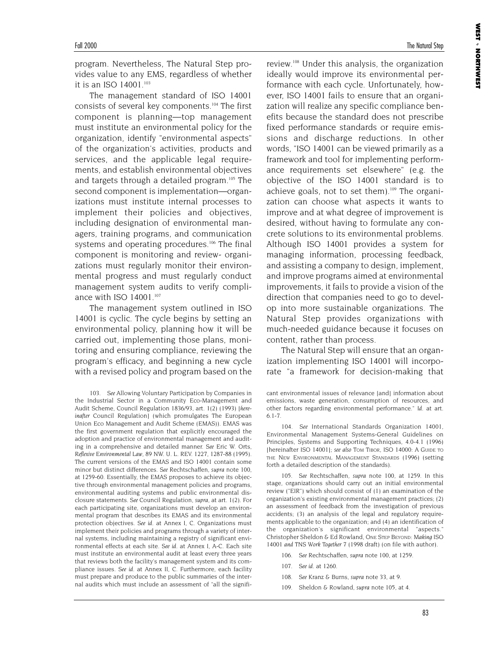**WEST** 

NORTHWEST

program. Nevertheless, The Natural Step provides value to any EMS, regardless of whether it is an ISO 14001.103

The management standard of ISO 14001 consists of several key components.104 The first component is planning—top management must institute an environmental policy for the organization, identify "environmental aspects" of the organization's activities, products and services, and the applicable legal requirements, and establish environmental objectives and targets through a detailed program.<sup>105</sup> The second component is implementation—organizations must institute internal processes to implement their policies and objectives, including designation of environmental managers, training programs, and communication systems and operating procedures.<sup>106</sup> The final component is monitoring and review- organizations must regularly monitor their environmental progress and must regularly conduct management system audits to verify compliance with ISO 14001.<sup>107</sup>

The management system outlined in ISO 14001 is cyclic. The cycle begins by setting an environmental policy, planning how it will be carried out, implementing those plans, monitoring and ensuring compliance, reviewing the program's efficacy, and beginning a new cycle with a revised policy and program based on the review.108 Under this analysis, the organization ideally would improve its environmental performance with each cycle. Unfortunately, however, ISO 14001 fails to ensure that an organization will realize any specific compliance benefits because the standard does not prescribe fixed performance standards or require emissions and discharge reductions. In other words, "ISO 14001 can be viewed primarily as a framework and tool for implementing performance requirements set elsewhere" (e.g. the objective of the ISO 14001 standard is to achieve goals, not to set them).<sup>109</sup> The organization can choose what aspects it wants to improve and at what degree of improvement is desired, without having to formulate any concrete solutions to its environmental problems. Although ISO 14001 provides a system for managing information, processing feedback, and assisting a company to design, implement, and improve programs aimed at environmental improvements, it fails to provide a vision of the direction that companies need to go to develop into more sustainable organizations. The Natural Step provides organizations with much-needed guidance because it focuses on content, rather than process.

The Natural Step will ensure that an organization implementing ISO 14001 will incorporate "a framework for decision-making that

105. *See* Rechtschaffen, *supra* note 100, at 1259. In this stage, organizations should carry out an initial environmental review ("EIR") which should consist of (1) an examination of the organization's existing environmental management practices; (2) an assessment of feedback from the investigation of previous accidents; (3) an analysis of the legal and regulatory requirements applicable to the organization; and (4) an identification of the organization's significant environmental "aspects." Christopher Sheldon & Ed Rowland, *ONE STEP BEYOND: Making ISO 14001 and TNS Work Together* 7 (1998 draft) (on file with author).

- 106. *See* Rechtschaffen, *supra* note 100, at 1259.
- 107. *See id*. at 1260.
- 108. *See* Kranz & Burns, *supra* note 33, at 9.
- 109. Sheldon & Rowland, *supra* note 105, at 4.

<sup>103.</sup> *See* Allowing Voluntary Participation by Companies in the Industrial Sector in a Community Eco-Management and Audit Scheme, Council Regulation 1836/93, art. 1(2) (1993) [*hereinafter* Council Regulation] (which promulgates The European Union Eco Management and Audit Scheme (EMAS)). EMAS was the first government regulation that explicitly encouraged the adoption and practice of environmental management and auditing in a comprehensive and detailed manner. *See* Eric W. Orts, *Reflexive Environmental Law*, 89 NW. U. L. REV. 1227, 1287-88 (1995). The current versions of the EMAS and ISO 14001 contain some minor but distinct differences. *See* Rechtschaffen, *supra* note 100, at 1259-60. Essentially, the EMAS proposes to achieve its objective through environmental management policies and programs, environmental auditing systems and public environmental disclosure statements. *See* Council Regulation, *supra*, at art. 1(2). For each participating site, organizations must develop an environmental program that describes its EMAS and its environmental protection objectives. *See id*. at Annex I, C. Organizations must implement their policies and programs through a variety of internal systems, including maintaining a registry of significant environmental effects at each site. *See id*. at Annex I, A-C. Each site must institute an environmental audit at least every three years that reviews both the facility's management system and its compliance issues. *See id*. at Annex II, C. Furthermore, each facility must prepare and produce to the public summaries of the internal audits which must include an assessment of "all the signifi-

cant environmental issues of relevance [and] information about emissions, waste generation, consumption of resources, and other factors regarding environmental performance." *Id*. at art. 6.1-7.

<sup>104.</sup> *See* International Standards Organization 14001, Environmental Management Systems-General Guidelines on Principles, Systems and Supporting Techniques, 4.0-4.1 (1996) [hereinafter ISO 14001]; *see also* TOM TIBOR, ISO 14000: A GUIDE TO THE NEW ENVIRONMENTAL MANAGEMENT STANDARDS (1996) (setting forth a detailed description of the standards).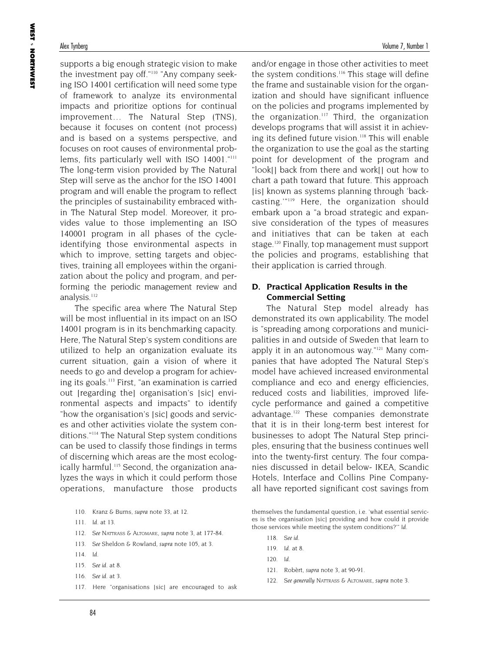supports a big enough strategic vision to make the investment pay off."110 "Any company seeking ISO 14001 certification will need some type of framework to analyze its environmental impacts and prioritize options for continual improvement… The Natural Step (TNS), because it focuses on content (not process) and is based on a systems perspective, and focuses on root causes of environmental problems, fits particularly well with ISO 14001."<sup>111</sup> The long-term vision provided by The Natural Step will serve as the anchor for the ISO 14001 program and will enable the program to reflect the principles of sustainability embraced within The Natural Step model. Moreover, it provides value to those implementing an ISO 140001 program in all phases of the cycleidentifying those environmental aspects in which to improve, setting targets and objectives, training all employees within the organization about the policy and program, and performing the periodic management review and analysis.<sup>112</sup>

The specific area where The Natural Step will be most influential in its impact on an ISO 14001 program is in its benchmarking capacity. Here, The Natural Step's system conditions are utilized to help an organization evaluate its current situation, gain a vision of where it needs to go and develop a program for achieving its goals.<sup>113</sup> First, "an examination is carried out [regarding the] organisation's [sic] environmental aspects and impacts" to identify "how the organisation's [sic] goods and services and other activities violate the system conditions."114 The Natural Step system conditions can be used to classify those findings in terms of discerning which areas are the most ecologically harmful.<sup>115</sup> Second, the organization analyzes the ways in which it could perform those operations, manufacture those products

- 111. *Id*. at 13.
- 112. *See* NATTRASS & ALTOMARE, *supra* note 3, at 177-84.
- 113. *See* Sheldon & Rowland, *supra* note 105, at 3.
- 114. *Id*.
- 115. *See id*. at 8.
- 116. *See id*. at 3.
- 117. Here "organisations [sic] are encouraged to ask

and/or engage in those other activities to meet the system conditions.<sup>116</sup> This stage will define the frame and sustainable vision for the organization and should have significant influence on the policies and programs implemented by the organization.<sup>117</sup> Third, the organization develops programs that will assist it in achieving its defined future vision.<sup>118</sup> This will enable the organization to use the goal as the starting point for development of the program and "look[] back from there and work[] out how to chart a path toward that future. This approach [is] known as systems planning through 'backcasting.'"119 Here, the organization should embark upon a "a broad strategic and expansive consideration of the types of measures and initiatives that can be taken at each stage.<sup>120</sup> Finally, top management must support the policies and programs, establishing that their application is carried through.

### **D. Practical Application Results in the Commercial Setting**

The Natural Step model already has demonstrated its own applicability. The model is "spreading among corporations and municipalities in and outside of Sweden that learn to apply it in an autonomous way."<sup>121</sup> Many companies that have adopted The Natural Step's model have achieved increased environmental compliance and eco and energy efficiencies, reduced costs and liabilities, improved lifecycle performance and gained a competitive advantage.<sup>122</sup> These companies demonstrate that it is in their long-term best interest for businesses to adopt The Natural Step principles, ensuring that the business continues well into the twenty-first century. The four companies discussed in detail below- IKEA, Scandic Hotels, Interface and Collins Pine Companyall have reported significant cost savings from

themselves the fundamental question, i.e. 'what essential services is the organisation [sic] providing and how could it provide those services while meeting the system conditions?'" *Id*.

- 118. *See id*.
- 119. *Id*. at 8.
- 120. *Id*.
- 121. Robèrt, *supra* note 3, at 90-91.
- 122. *See generally* NATTRASS & ALTOMARE, *supra* note 3.

<sup>110.</sup> Kranz & Burns, *supra* note 33, at 12.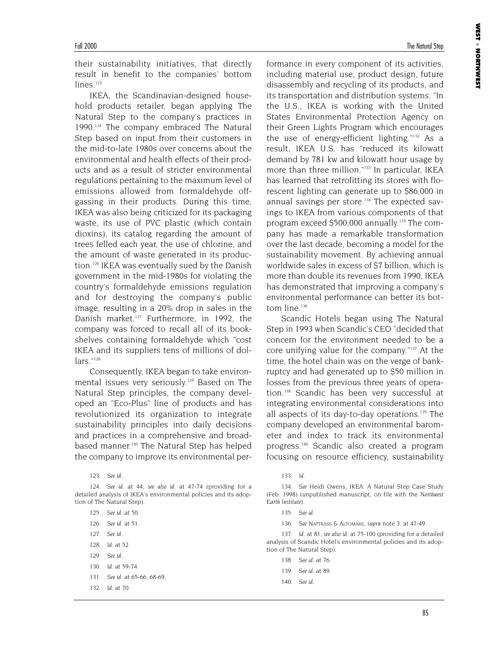their sustainability initiatives, that directly result in benefit to the companies' bottom  $lines$ <sup>123</sup>

IKEA, the Scandinavian-designed household products retailer, began applying The Natural Step to the company's practices in 1990.<sup>124</sup> The company embraced The Natural Step based on input from their customers in the mid-to-late 1980s over concerns about the environmental and health effects of their products and as a result of stricter environmental regulations pertaining to the maximum level of emissions allowed from formaldehyde offgassing in their products. During this time, IKEA was also being criticized for its packaging waste, its use of PVC plastic (which contain dioxins), its catalog regarding the amount of trees felled each year, the use of chlorine, and the amount of waste generated in its production.126 IKEA was eventually sued by the Danish government in the mid-1980s for violating the country's formaldehyde emissions regulation and for destroying the company's public image, resulting in a 20% drop in sales in the Danish market.<sup>127</sup> Furthermore, in 1992, the company was forced to recall all of its bookshelves containing formaldehyde which "cost IKEA and its suppliers tens of millions of dollars<sup>"128</sup>

Consequently, IKEA began to take environmental issues very seriously.<sup>129</sup> Based on The Natural Step principles, the company developed an "Eco-Plus" line of products and has revolutionized its organization to integrate sustainability principles into daily decisions and practices in a comprehensive and broadbased manner.<sup>130</sup> The Natural Step has helped the company to improve its environmental per-

- 127. *See id*.
- 128. *Id*. at 52.
- 129. *See id*.
- 130. *Id*. at 59-74.
- 131. *See id*. at 65-66, 68-69.
- 132. *Id*. at 70.

**WEST** 

NORTHWEST

formance in every component of its activities, including material use, product design, future disassembly and recycling of its products, and its transportation and distribution systems. "In the U.S., IKEA is working with the United States Environmental Protection Agency on their Green Lights Program which encourages the use of energy-efficient lighting."132 As a result, IKEA U.S. has "reduced its kilowatt demand by 781 kw and kilowatt hour usage by more than three million."<sup>133</sup> In particular, IKEA has learned that retrofitting its stores with florescent lighting can generate up to \$86,000 in annual savings per store.<sup>134</sup> The expected savings to IKEA from various components of that program exceed \$500,000 annually.135 The company has made a remarkable transformation over the last decade, becoming a model for the sustainability movement. By achieving annual worldwide sales in excess of \$7 billion, which is more than double its revenues from 1990, IKEA has demonstrated that improving a company's

Scandic Hotels began using The Natural Step in 1993 when Scandic's CEO "decided that concern for the environment needed to be a core unifying value for the company."137 At the time, the hotel chain was on the verge of bankruptcy and had generated up to \$50 million in losses from the previous three years of operation.<sup>138</sup> Scandic has been very successful at integrating environmental considerations into all aspects of its day-to-day operations.<sup>139</sup> The company developed an environmental barometer and index to track its environmental progress.140 Scandic also created a program focusing on resource efficiency, sustainability

environmental performance can better its bot-

tom line.<sup>136</sup>

136. *See* NATTRASS & ALTOMARE, *supra* note 3, at 47-49.

137. *Id*. at 81; *see also id*. at 75-100 (providing for a detailed analysis of Scandic Hotel's environmental policies and its adoption of The Natural Step).

- 138. *See id*. at 76.
- 139. *See id*. at 89.
- 140. *See id*.

<sup>123.</sup> *See id*.

<sup>124.</sup> *See id*. at 44; *see also id*. at 47-74 (providing for a detailed analysis of IKEA's environmental policies and its adoption of The Natural Step).

<sup>125.</sup> *See id*. at 50. 126. *See id*. at 51.

<sup>133.</sup> *Id*.

<sup>134.</sup> *See* Heidi Owens, IKEA: A Natural Step Case Study (Feb. 1998) (unpublished manuscript, on file with the *Northwest Earth Institute*).

<sup>135.</sup> *See id*.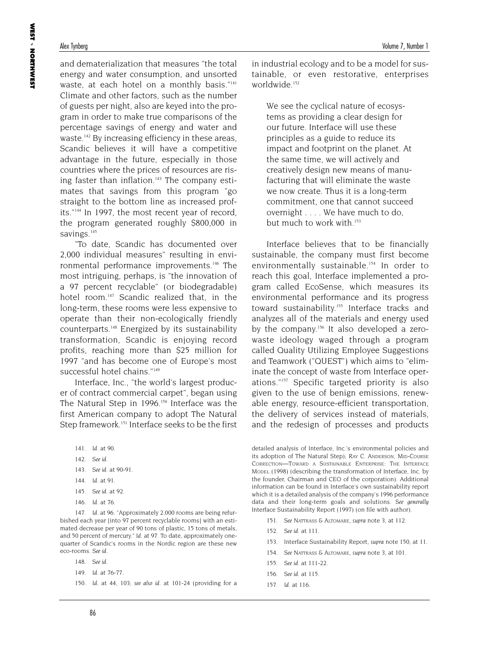and dematerialization that measures "the total energy and water consumption, and unsorted waste, at each hotel on a monthly basis."141 Climate and other factors, such as the number of guests per night, also are keyed into the program in order to make true comparisons of the percentage savings of energy and water and waste.<sup>142</sup> By increasing efficiency in these areas, Scandic believes it will have a competitive advantage in the future, especially in those countries where the prices of resources are rising faster than inflation.<sup>143</sup> The company estimates that savings from this program "go straight to the bottom line as increased profits."144 In 1997, the most recent year of record, the program generated roughly \$800,000 in savings.<sup>145</sup>

"To date, Scandic has documented over 2,000 individual measures" resulting in environmental performance improvements.<sup>146</sup> The most intriguing, perhaps, is "the innovation of a 97 percent recyclable" (or biodegradable) hotel room.<sup>147</sup> Scandic realized that, in the long-term, these rooms were less expensive to operate than their non-ecologically friendly counterparts.148 Energized by its sustainability transformation, Scandic is enjoying record profits, reaching more than \$25 million for 1997 "and has become one of Europe's most successful hotel chains."<sup>149</sup>

Interface, Inc., "the world's largest producer of contract commercial carpet", began using The Natural Step in 1996.<sup>150</sup> Interface was the first American company to adopt The Natural Step framework.<sup>151</sup> Interface seeks to be the first

- 141. *Id*. at 90.
- 142. *See id*.
- 143. *See id*. at 90-91.
- 144. *Id*. at 91.
- 145. *See id*. at 92.
- 146. *Id*. at 76.

147. *Id*. at 96. "Approximately 2,000 rooms are being refurbished each year (into 97 percent recyclable rooms) with an estimated decrease per year of 90 tons of plastic, 15 tons of metals, and 50 percent of mercury." *Id*. at 97. To date, approximately onequarter of Scandic's rooms in the Nordic region are these new eco-rooms. *See id*.

- 148. *See id*.
- 149. *Id*. at 76-77.
- 150. *Id*. at 44, 103; *see also id*. at 101-24 (providing for a

in industrial ecology and to be a model for sustainable, or even restorative, enterprises worldwide.<sup>152</sup>

We see the cyclical nature of ecosystems as providing a clear design for our future. Interface will use these principles as a guide to reduce its impact and footprint on the planet. At the same time, we will actively and creatively design new means of manufacturing that will eliminate the waste we now create. Thus it is a long-term commitment, one that cannot succeed overnight . . . . We have much to do, but much to work with.<sup>153</sup>

Interface believes that to be financially sustainable, the company must first become environmentally sustainable.<sup>154</sup> In order to reach this goal, Interface implemented a program called EcoSense, which measures its environmental performance and its progress toward sustainability.<sup>155</sup> Interface tracks and analyzes all of the materials and energy used by the company.<sup>156</sup> It also developed a zerowaste ideology waged through a program called Quality Utilizing Employee Suggestions and Teamwork ("QUEST") which aims to "eliminate the concept of waste from Interface operations."157 Specific targeted priority is also given to the use of benign emissions, renewable energy, resource-efficient transportation, the delivery of services instead of materials, and the redesign of processes and products

detailed analysis of Interface, Inc.'s environmental policies and its adoption of The Natural Step); RAY C. ANDERSON, MID-COURSE CORRECTION—TOWARD A SUSTAINABLE ENTERPRISE: THE INTERFACE MODEL (1998) (describing the transformation of Interface, Inc. by the founder, Chairman and CEO of the corporation). Additional information can be found in Interface's own sustainability report which it is a detailed analysis of the company's 1996 performance data and their long-term goals and solutions. *See generally* Interface Sustainability Report (1997) (on file with author).

- 151. *See* NATTRASS & ALTOMARE, *supra* note 3, at 112.
- 152. *See id*. at 111.
- 153. Interface Sustainability Report, *supra* note 150, at 11.
- 154. *See* NATTRASS & ALTOMARE, *supra* note 3, at 101.
- 155. *See id*. at 111-22.
- 156. *See id*. at 115.
- 157. *Id*. at 116.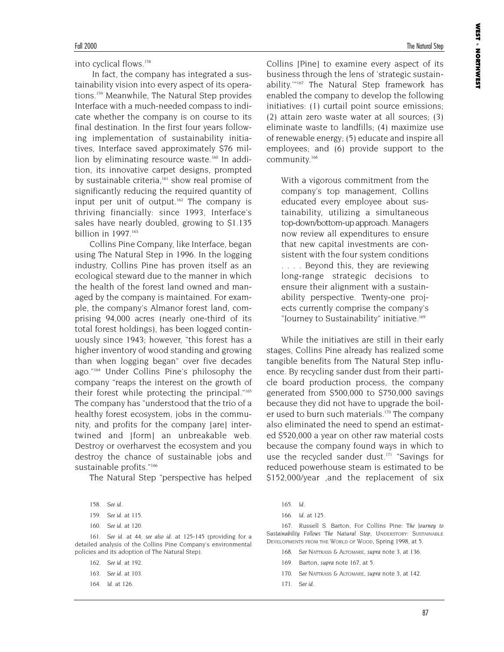**WEST** 

NORTHWEST

into cyclical flows.158

In fact, the company has integrated a sustainability vision into every aspect of its operations.159 Meanwhile, The Natural Step provides Interface with a much-needed compass to indicate whether the company is on course to its final destination. In the first four years following implementation of sustainability initiatives, Interface saved approximately \$76 million by eliminating resource waste.<sup>160</sup> In addition, its innovative carpet designs, prompted by sustainable criteria,<sup>161</sup> show real promise of significantly reducing the required quantity of input per unit of output.<sup>162</sup> The company is thriving financially: since 1993, Interface's sales have nearly doubled, growing to \$1.135 billion in 1997.<sup>163</sup>

Collins Pine Company, like Interface, began using The Natural Step in 1996. In the logging industry, Collins Pine has proven itself as an ecological steward due to the manner in which the health of the forest land owned and managed by the company is maintained. For example, the company's Almanor forest land, comprising 94,000 acres (nearly one-third of its total forest holdings), has been logged continuously since 1943; however, "this forest has a higher inventory of wood standing and growing than when logging began" over five decades ago."164 Under Collins Pine's philosophy the company "reaps the interest on the growth of their forest while protecting the principal."165 The company has "understood that the trio of a healthy forest ecosystem, jobs in the community, and profits for the company [are] intertwined and [form] an unbreakable web. Destroy or overharvest the ecosystem and you destroy the chance of sustainable jobs and sustainable profits."<sup>166</sup>

The Natural Step "perspective has helped

160. *See id*. at 120.

161. *See id*. at 44; *see also id*. at 125-145 (providing for a detailed analysis of the Collins Pine Company's environmental policies and its adoption of The Natural Step).

162. *See id*. at 192.

- 163. *See id*. at 103.
- 164. *Id*. at 126.

Collins [Pine] to examine every aspect of its business through the lens of 'strategic sustainability.'"167 The Natural Step framework has enabled the company to develop the following initiatives: (1) curtail point source emissions; (2) attain zero waste water at all sources; (3) eliminate waste to landfills; (4) maximize use of renewable energy; (5) educate and inspire all employees; and (6) provide support to the community.168

With a vigorous commitment from the company's top management, Collins educated every employee about sustainability, utilizing a simultaneous top-down/bottom-up approach. Managers now review all expenditures to ensure that new capital investments are consistent with the four system conditions . . . . Beyond this, they are reviewing long-range strategic decisions to ensure their alignment with a sustainability perspective. Twenty-one projects currently comprise the company's "Journey to Sustainability" initiative.<sup>169</sup>

While the initiatives are still in their early stages, Collins Pine already has realized some tangible benefits from The Natural Step influence. By recycling sander dust from their particle board production process, the company generated from \$500,000 to \$750,000 savings because they did not have to upgrade the boiler used to burn such materials.<sup>170</sup> The company also eliminated the need to spend an estimated \$520,000 a year on other raw material costs because the company found ways in which to use the recycled sander dust.<sup>171</sup> "Savings for reduced powerhouse steam is estimated to be \$152,000/year ,and the replacement of six

167. Russell S. Barton, For Collins Pine: *The Journey to Sustainability Follows The Natural Step,* UNDERSTORY: SUSTAINABLE DEVELOPMENTS FROM THE WORLD OF WOOD, Spring 1998, at 5.

- See NATTRASS & ALTOMARE, *supra* note 3, at 136.
- 169. Barton, *supra* note 167, at 5.
- 170. *See* NATTRASS & ALTOMARE, *supra* note 3, at 142.
- 171. *See id*.

<sup>158.</sup> *See id*.

<sup>159.</sup> *See id*. at 115.

<sup>165.</sup> *Id*.

<sup>166.</sup> *Id*. at 125.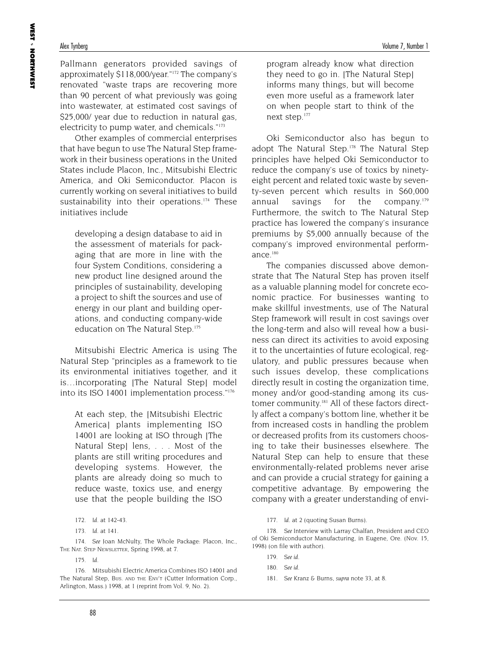Pallmann generators provided savings of approximately \$118,000/year."172 The company's renovated "waste traps are recovering more than 90 percent of what previously was going into wastewater, at estimated cost savings of \$25,000/ year due to reduction in natural gas, electricity to pump water, and chemicals."173

Other examples of commercial enterprises that have begun to use The Natural Step framework in their business operations in the United States include Placon, Inc., Mitsubishi Electric America, and Oki Semiconductor. Placon is currently working on several initiatives to build sustainability into their operations.<sup>174</sup> These initiatives include

developing a design database to aid in the assessment of materials for packaging that are more in line with the four System Conditions, considering a new product line designed around the principles of sustainability, developing a project to shift the sources and use of energy in our plant and building operations, and conducting company-wide education on The Natural Step.<sup>175</sup>

Mitsubishi Electric America is using The Natural Step "principles as a framework to tie its environmental initiatives together, and it is…incorporating [The Natural Step] model into its ISO 14001 implementation process."176

At each step, the [Mitsubishi Electric America] plants implementing ISO 14001 are looking at ISO through [The Natural Step] lens, . . . Most of the plants are still writing procedures and developing systems. However, the plants are already doing so much to reduce waste, toxics use, and energy use that the people building the ISO

174. *See* Joan McNulty, The Whole Package: Placon, Inc., THE NAT. STEP NEWSLETTER, Spring 1998, at 7.

175. *Id*.

program already know what direction they need to go in. [The Natural Step] informs many things, but will become even more useful as a framework later on when people start to think of the next step.<sup>177</sup>

Oki Semiconductor also has begun to adopt The Natural Step.<sup>178</sup> The Natural Step principles have helped Oki Semiconductor to reduce the company's use of toxics by ninetyeight percent and related toxic waste by seventy-seven percent which results in \$60,000 annual savings for the company.<sup>179</sup> Furthermore, the switch to The Natural Step practice has lowered the company's insurance premiums by \$5,000 annually because of the company's improved environmental performance. $180$ 

The companies discussed above demonstrate that The Natural Step has proven itself as a valuable planning model for concrete economic practice. For businesses wanting to make skillful investments, use of The Natural Step framework will result in cost savings over the long-term and also will reveal how a business can direct its activities to avoid exposing it to the uncertainties of future ecological, regulatory, and public pressures because when such issues develop, these complications directly result in costing the organization time, money and/or good-standing among its customer community.<sup>181</sup> All of these factors directly affect a company's bottom line, whether it be from increased costs in handling the problem or decreased profits from its customers choosing to take their businesses elsewhere. The Natural Step can help to ensure that these environmentally-related problems never arise and can provide a crucial strategy for gaining a competitive advantage. By empowering the company with a greater understanding of envi-

178. *See* Interview with Larray Chalfan, President and CEO of Oki Semiconductor Manufacturing, in Eugene, Ore. (Nov. 15, 1998) (on file with author).

<sup>172.</sup> *Id*. at 142-43.

<sup>173.</sup> *Id*. at 141.

<sup>176.</sup> Mitsubishi Electric America Combines ISO 14001 and The Natural Step, BUS. AND THE ENV'T (Cutter Information Corp., Arlington, Mass.) 1998, at 1 (reprint from Vol. 9, No. 2).

<sup>177.</sup> *Id*. at 2 (quoting Susan Burns).

<sup>179.</sup> *See id*.

<sup>180.</sup> *See id*.

<sup>181.</sup> *See* Kranz & Burns, *supra* note 33, at 8.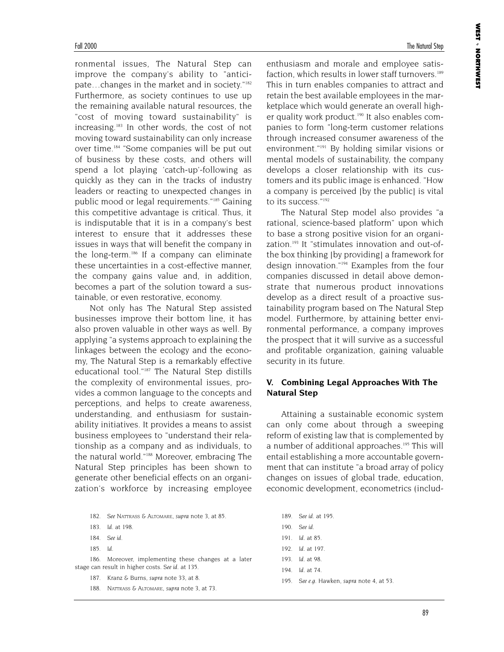ronmental issues, The Natural Step can improve the company's ability to "anticipate…changes in the market and in society."182 Furthermore, as society continues to use up the remaining available natural resources, the "cost of moving toward sustainability" is increasing.183 In other words, the cost of not moving toward sustainability can only increase over time.184 "Some companies will be put out of business by these costs, and others will spend a lot playing 'catch-up'-following as quickly as they can in the tracks of industry leaders or reacting to unexpected changes in public mood or legal requirements."185 Gaining this competitive advantage is critical. Thus, it is indisputable that it is in a company's best interest to ensure that it addresses these issues in ways that will benefit the company in the long-term.<sup>186</sup> If a company can eliminate these uncertainties in a cost-effective manner, the company gains value and, in addition, becomes a part of the solution toward a sustainable, or even restorative, economy.

Not only has The Natural Step assisted businesses improve their bottom line, it has also proven valuable in other ways as well. By applying "a systems approach to explaining the linkages between the ecology and the economy, The Natural Step is a remarkably effective educational tool."187 The Natural Step distills the complexity of environmental issues, provides a common language to the concepts and perceptions, and helps to create awareness, understanding, and enthusiasm for sustainability initiatives. It provides a means to assist business employees to "understand their relationship as a company and as individuals, to the natural world."188 Moreover, embracing The Natural Step principles has been shown to generate other beneficial effects on an organization's workforce by increasing employee

185. *Id*.

186. Moreover, implementing these changes at a later stage can result in higher costs. *See id*. at 135.

- 187. Kranz & Burns, *supra* note 33, at 8.
- 188. NATTRASS & ALTOMARE, *supra* note 3, at 73.

enthusiasm and morale and employee satisfaction, which results in lower staff turnovers.<sup>189</sup> This in turn enables companies to attract and retain the best available employees in the marketplace which would generate an overall higher quality work product.<sup>190</sup> It also enables companies to form "long-term customer relations through increased consumer awareness of the environment."191 By holding similar visions or mental models of sustainability, the company develops a closer relationship with its customers and its public image is enhanced. "How a company is perceived [by the public] is vital to its success."<sup>192</sup>

The Natural Step model also provides "a rational, science-based platform" upon which to base a strong positive vision for an organization.<sup>193</sup> It "stimulates innovation and out-ofthe box thinking [by providing] a framework for design innovation."194 Examples from the four companies discussed in detail above demonstrate that numerous product innovations develop as a direct result of a proactive sustainability program based on The Natural Step model. Furthermore, by attaining better environmental performance, a company improves the prospect that it will survive as a successful and profitable organization, gaining valuable security in its future.

### **V. Combining Legal Approaches With The Natural Step**

Attaining a sustainable economic system can only come about through a sweeping reform of existing law that is complemented by a number of additional approaches.<sup>195</sup> This will entail establishing a more accountable government that can institute "a broad array of policy changes on issues of global trade, education, economic development, econometrics (includ-

189. *See id*. at 195. 190. *See id*. 191. *Id*. at 85. 192. *Id*. at 197. 193. *Id*. at 98. 194. *Id*. at 74.

195. *See e.g.* Hawken, *supra* note 4, at 53.

<sup>182.</sup> *See* NATTRASS & ALTOMARE, *supra* note 3, at 85.

<sup>183.</sup> *Id*. at 198.

<sup>184.</sup> *See id*.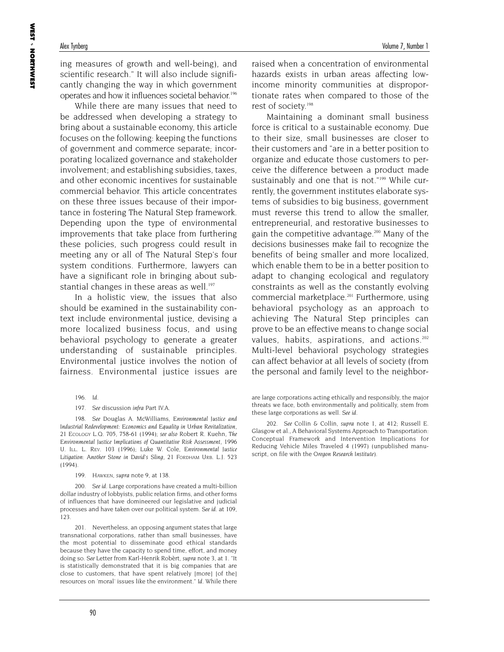ing measures of growth and well-being), and scientific research." It will also include significantly changing the way in which government operates and how it influences societal behavior.<sup>196</sup>

While there are many issues that need to be addressed when developing a strategy to bring about a sustainable economy, this article focuses on the following: keeping the functions of government and commerce separate; incorporating localized governance and stakeholder involvement; and establishing subsidies, taxes, and other economic incentives for sustainable commercial behavior. This article concentrates on these three issues because of their importance in fostering The Natural Step framework. Depending upon the type of environmental improvements that take place from furthering these policies, such progress could result in meeting any or all of The Natural Step's four system conditions. Furthermore, lawyers can have a significant role in bringing about substantial changes in these areas as well.<sup>197</sup>

In a holistic view, the issues that also should be examined in the sustainability context include environmental justice, devising a more localized business focus, and using behavioral psychology to generate a greater understanding of sustainable principles. Environmental justice involves the notion of fairness. Environmental justice issues are

198. *See* Douglas A. McWilliams, *Environmental Justice and Industrial Redevelopment: Economics and Equality in Urban Revitalization*, 21 ECOLOGY L.Q. 705, 758-61 (1994); *see also* Robert R. Kuehn, *The Environmental Justice Implications of Quantitative Risk Assessment*, 1996 U. ILL. L. REV. 103 (1996); Luke W. Cole, *Environmental Justice Litigation: Another Stone in David's Sling*, 21 FORDHAM URB. L.J. 523 (1994).

199. HAWKEN, *supra* note 9, at 138.

200. *See id*. Large corporations have created a multi-billion dollar industry of lobbyists, public relation firms, and other forms of influences that have domineered our legislative and judicial processes and have taken over our political system. *See id*. at 109, 123.

201. Nevertheless, an opposing argument states that large transnational corporations, rather than small businesses, have the most potential to disseminate good ethical standards because they have the capacity to spend time, effort, and money doing so. *See* Letter from Karl-Henrik Robèrt, *supra* note 3, at 1. "It is statistically demonstrated that it is big companies that are close to customers, that have spent relatively [more] [of the] resources on 'moral' issues like the environment." *Id*. While there raised when a concentration of environmental hazards exists in urban areas affecting lowincome minority communities at disproportionate rates when compared to those of the rest of society.198

Maintaining a dominant small business force is critical to a sustainable economy. Due to their size, small businesses are closer to their customers and "are in a better position to organize and educate those customers to perceive the difference between a product made sustainably and one that is not."<sup>199</sup> While currently, the government institutes elaborate systems of subsidies to big business, government must reverse this trend to allow the smaller, entrepreneurial, and restorative businesses to gain the competitive advantage.<sup>200</sup> Many of the decisions businesses make fail to recognize the benefits of being smaller and more localized, which enable them to be in a better position to adapt to changing ecological and regulatory constraints as well as the constantly evolving commercial marketplace.201 Furthermore, using behavioral psychology as an approach to achieving The Natural Step principles can prove to be an effective means to change social values, habits, aspirations, and actions.<sup>202</sup> Multi-level behavioral psychology strategies can affect behavior at all levels of society (from the personal and family level to the neighbor-

<sup>196.</sup> *Id*.

<sup>197.</sup> *See* discussion *infra* Part IV.A.

are large corporations acting ethically and responsibly, the major threats we face, both environmentally and politically, stem from these large corporations as well. *See id*.

<sup>202.</sup> *See* Collin & Collin, *supra* note 1, at 412; Russell E. Glasgow et al., A Behavioral Systems Approach to Transportation: Conceptual Framework and Intervention Implications for Reducing Vehicle Miles Traveled 4 (1997) (unpublished manuscript, on file with the *Oregon Research Institute*).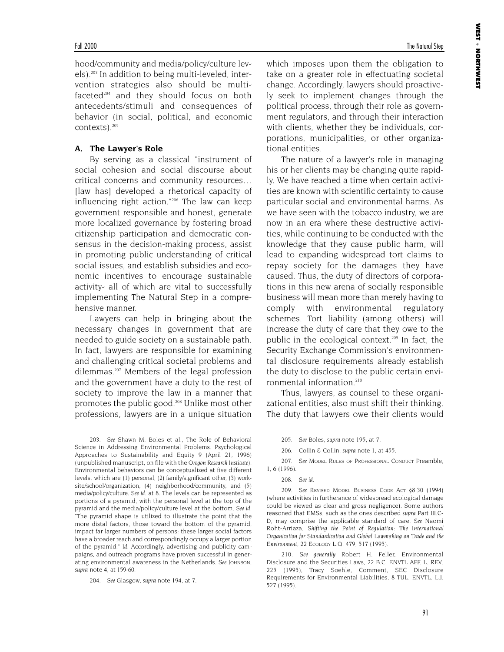hood/community and media/policy/culture levels).203 In addition to being multi-leveled, intervention strategies also should be multifaceted $204$  and they should focus on both antecedents/stimuli and consequences of behavior (in social, political, and economic contexts).<sup>205</sup>

### **A. The Lawyer's Role**

By serving as a classical "instrument of social cohesion and social discourse about critical concerns and community resources… [law has] developed a rhetorical capacity of influencing right action."206 The law can keep government responsible and honest, generate more localized governance by fostering broad citizenship participation and democratic consensus in the decision-making process, assist in promoting public understanding of critical social issues, and establish subsidies and economic incentives to encourage sustainable activity- all of which are vital to successfully implementing The Natural Step in a comprehensive manner.

Lawyers can help in bringing about the necessary changes in government that are needed to guide society on a sustainable path. In fact, lawyers are responsible for examining and challenging critical societal problems and dilemmas.207 Members of the legal profession and the government have a duty to the rest of society to improve the law in a manner that promotes the public good.<sup>208</sup> Unlike most other professions, lawyers are in a unique situation

203. *See* Shawn M. Boles et al., The Role of Behavioral Science in Addressing Environmental Problems: Psychological Approaches to Sustainability and Equity 9 (April 21, 1996) (unpublished manuscript, on file with the *Oregon Research Institute*). Environmental behaviors can be conceptualized at five different levels, which are (1) personal, (2) family/significant other, (3) worksite/school/organization, (4) neighborhood/community, and (5) media/policy/culture. *See id*. at 8. The levels can be represented as portions of a pyramid, with the personal level at the top of the pyramid and the media/policy/culture level at the bottom. *See id*. "The pyramid shape is utilized to illustrate the point that the more distal factors, those toward the bottom of the pyramid, impact far larger numbers of persons: these larger social factors have a broader reach and correspondingly occupy a larger portion of the pyramid." *Id*. Accordingly, advertising and publicity campaigns, and outreach programs have proven successful in generating environmental awareness in the Netherlands. *See* JOHNSON, *supra* note 4, at 159-60.

204. *See* Glasgow, *supra* note 194, at 7.

which imposes upon them the obligation to take on a greater role in effectuating societal change. Accordingly, lawyers should proactively seek to implement changes through the political process, through their role as government regulators, and through their interaction with clients, whether they be individuals, corporations, municipalities, or other organizational entities.

The nature of a lawyer's role in managing his or her clients may be changing quite rapidly. We have reached a time when certain activities are known with scientific certainty to cause particular social and environmental harms. As we have seen with the tobacco industry, we are now in an era where these destructive activities, while continuing to be conducted with the knowledge that they cause public harm, will lead to expanding widespread tort claims to repay society for the damages they have caused. Thus, the duty of directors of corporations in this new arena of socially responsible business will mean more than merely having to comply with environmental regulatory schemes. Tort liability (among others) will increase the duty of care that they owe to the public in the ecological context.<sup>209</sup> In fact, the Security Exchange Commission's environmental disclosure requirements already establish the duty to disclose to the public certain environmental information.<sup>210</sup>

Thus, lawyers, as counsel to these organizational entities, also must shift their thinking. The duty that lawyers owe their clients would

205. *See* Boles, *supra* note 195, at 7.

206. Collin & Collin, *supra* note 1, at 455.

207. *See* MODEL RULES OF PROFESSIONAL CONDUCT Preamble, 1, 6 (1996).

209. *See* REVISED MODEL BUSINESS CODE ACT §8.30 (1994) (where activities in furtherance of widespread ecological damage could be viewed as clear and gross negligence). Some authors reasoned that EMSs, such as the ones described *supra* Part III.C-D, may comprise the applicable standard of care. *See* Naomi Roht-Arriaza, *Shifting the Point of Regulation: The International Organization for Standardization and Global Lawmaking on Trade and the Environment*, 22 ECOLOGY L.Q. 479, 517 (1995).

210. *See generally* Robert H. Feller, Environmental Disclosure and the Securities Laws, 22 B.C. ENVTL AFF. L. REV. 225 (1995); Tracy Soehle, Comment, SEC Disclosure Requirements for Environmental Liabilities, 8 TUL. ENVTL. L.J. 527 (1995).

<sup>208.</sup> *See id*.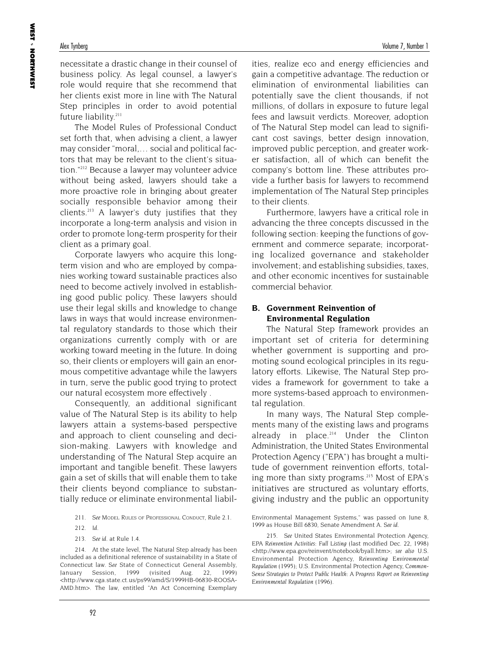necessitate a drastic change in their counsel of business policy. As legal counsel, a lawyer's role would require that she recommend that her clients exist more in line with The Natural Step principles in order to avoid potential future liability.<sup>211</sup>

The Model Rules of Professional Conduct set forth that, when advising a client, a lawyer may consider "moral,… social and political factors that may be relevant to the client's situation."212 Because a lawyer may volunteer advice without being asked, lawyers should take a more proactive role in bringing about greater socially responsible behavior among their clients.213 A lawyer's duty justifies that they incorporate a long-term analysis and vision in order to promote long-term prosperity for their client as a primary goal.

Corporate lawyers who acquire this longterm vision and who are employed by companies working toward sustainable practices also need to become actively involved in establishing good public policy. These lawyers should use their legal skills and knowledge to change laws in ways that would increase environmental regulatory standards to those which their organizations currently comply with or are working toward meeting in the future. In doing so, their clients or employers will gain an enormous competitive advantage while the lawyers in turn, serve the public good trying to protect our natural ecosystem more effectively .

Consequently, an additional significant value of The Natural Step is its ability to help lawyers attain a systems-based perspective and approach to client counseling and decision-making. Lawyers with knowledge and understanding of The Natural Step acquire an important and tangible benefit. These lawyers gain a set of skills that will enable them to take their clients beyond compliance to substantially reduce or eliminate environmental liabilities, realize eco and energy efficiencies and gain a competitive advantage. The reduction or elimination of environmental liabilities can potentially save the client thousands, if not millions, of dollars in exposure to future legal fees and lawsuit verdicts. Moreover, adoption of The Natural Step model can lead to significant cost savings, better design innovation, improved public perception, and greater worker satisfaction, all of which can benefit the company's bottom line. These attributes provide a further basis for lawyers to recommend implementation of The Natural Step principles to their clients.

Furthermore, lawyers have a critical role in advancing the three concepts discussed in the following section: keeping the functions of government and commerce separate; incorporating localized governance and stakeholder involvement; and establishing subsidies, taxes, and other economic incentives for sustainable commercial behavior.

### **B. Government Reinvention of Environmental Regulation**

The Natural Step framework provides an important set of criteria for determining whether government is supporting and promoting sound ecological principles in its regulatory efforts. Likewise, The Natural Step provides a framework for government to take a more systems-based approach to environmental regulation.

In many ways, The Natural Step complements many of the existing laws and programs already in place. $214$  Under the Clinton Administration, the United States Environmental Protection Agency ("EPA") has brought a multitude of government reinvention efforts, totaling more than sixty programs.<sup>215</sup> Most of EPA's initiatives are structured as voluntary efforts, giving industry and the public an opportunity

<sup>211.</sup> *See* MODEL RULES OF PROFESSIONAL CONDUCT, Rule 2.1.

<sup>212.</sup> *Id*.

<sup>213.</sup> *See id*. at Rule 1.4.

<sup>214.</sup> At the state level, The Natural Step already has been included as a definitional reference of sustainability in a State of Connecticut law. *See* State of Connecticut General Assembly, January Session, 1999 (visited Aug. 22, 1999) <http://www.cga.state.ct.us/ps99/amd/S/1999HB-06830-ROOSA-AMD.htm>. The law, entitled "An Act Concerning Exemplary

Environmental Management Systems," was passed on June 8, 1999 as House Bill 6830, Senate Amendment A. *See id*.

<sup>215.</sup> *See* United States Environmental Protection Agency, *EPA Reinvention Activities: Full Listing* (last modified Dec. 22, 1998) <http://www.epa.gov/reinvent/notebook/byall.htm>; *see also* U.S. Environmental Protection Agency, *Reinventing Environmental Regulation* (1995); U.S. Environmental Protection Agency, *Common-Sense Strategies to Protect Public Health: A Progress Report on Reinventing Environmental Regulation* (1996).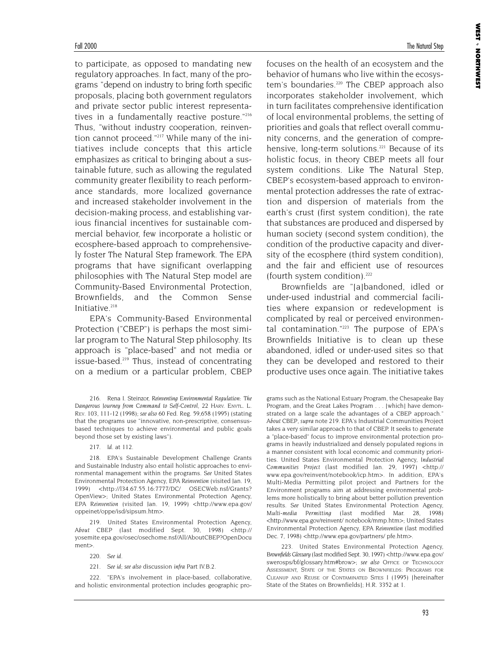to participate, as opposed to mandating new regulatory approaches. In fact, many of the programs "depend on industry to bring forth specific proposals, placing both government regulators and private sector public interest representatives in a fundamentally reactive posture."216 Thus, "without industry cooperation, reinvention cannot proceed."217 While many of the initiatives include concepts that this article emphasizes as critical to bringing about a sustainable future, such as allowing the regulated community greater flexibility to reach performance standards, more localized governance and increased stakeholder involvement in the decision-making process, and establishing various financial incentives for sustainable commercial behavior, few incorporate a holistic or ecosphere-based approach to comprehensively foster The Natural Step framework. The EPA programs that have significant overlapping philosophies with The Natural Step model are Community-Based Environmental Protection, Brownfields, and the Common Sense Initiative.<sup>218</sup>

EPA's Community-Based Environmental Protection ("CBEP") is perhaps the most similar program to The Natural Step philosophy. Its approach is "place-based" and not media or issue-based.<sup>219</sup> Thus, instead of concentrating on a medium or a particular problem, CBEP

216. Rena I. Steinzor, *Reinventing Environmental Regulation: The Dangerous Journey from Command to Self-Control*, 22 HARV. ENVTL. L. REV. 103, 111-12 (1998); *see also* 60 Fed. Reg. 59,658 (1995) (stating that the programs use "innovative, non-prescriptive, consensusbased techniques to achieve environmental and public goals beyond those set by existing laws").

217. *Id*. at 112.

218. EPA's Sustainable Development Challenge Grants and Sustainable Industry also entail holistic approaches to environmental management within the programs. *See* United States Environmental Protection Agency, *EPA Reinvention* (visited Jan. 19, 1999) <http://l34.67.55.16:7777/DC/ OSECWeb.nsf/Grants? OpenView>; United States Environmental Protection Agency, *EPA Reinvention* (visited Jan. 19, 1999) <http://www.epa.gov/ oppeinet/oppe/isd/sipsum.htm>.

219. United States Environmental Protection Agency, *About CBEP* (last modified Sept. 30, 1998) <http:// yosemite.epa.gov/osec/osechome.nsf/All/AboutCBEP?OpenDocu ment>.

220. *See id*.

221. *See id*; *see also* discussion *infra* Part IV.B.2.

222. "EPA's involvement in place-based, collaborative, and holistic environmental protection includes geographic pro**WEST** 

NORTHWEST

focuses on the health of an ecosystem and the behavior of humans who live within the ecosystem's boundaries.220 The CBEP approach also incorporates stakeholder involvement, which in turn facilitates comprehensive identification of local environmental problems, the setting of priorities and goals that reflect overall community concerns, and the generation of comprehensive, long-term solutions.<sup>221</sup> Because of its holistic focus, in theory CBEP meets all four system conditions. Like The Natural Step, CBEP's ecosystem-based approach to environmental protection addresses the rate of extraction and dispersion of materials from the earth's crust (first system condition), the rate that substances are produced and dispersed by human society (second system condition), the condition of the productive capacity and diversity of the ecosphere (third system condition), and the fair and efficient use of resources (fourth system condition). $222$ 

Brownfields are "[a]bandoned, idled or under-used industrial and commercial facilities where expansion or redevelopment is complicated by real or perceived environmental contamination."223 The purpose of EPA's Brownfields Initiative is to clean up these abandoned, idled or under-used sites so that they can be developed and restored to their productive uses once again. The initiative takes

grams such as the National Estuary Program, the Chesapeake Bay Program, and the Great Lakes Program . . . [which] have demonstrated on a large scale the advantages of a CBEP approach." *About CBEP*, *supra* note 219. EPA's Industrial Communities Project takes a very similar approach to that of CBEP. It seeks to generate a "place-based" focus to improve environmental protection programs in heavily industrialized and densely populated regions in a manner consistent with local economic and community priorities. United States Environmental Protection Agency, *Industrial Communities Project* (last modified Jan. 29, 1997) <http:// www.epa.gov/reinvent/notebook/icp.htm>. In addition, EPA's Multi-Media Permitting pilot project and Partners for the Environment programs aim at addressing environmental problems more holistically to bring about better pollution prevention results. *See* United States Environmental Protection Agency, *Multi-media Permitting* (last modified Mar. 28, 1998) <http://www.epa.gov/reinvent/ notebook/mmp.htm>; United States Environmental Protection Agency, *EPA Reinvention* (last modified Dec. 7, 1998) <http://www.epa.gov/partners/ pfe.htm>.

223. United States Environmental Protection Agency, *Brownfields Glossary* (last modified Sept. 30, 1997) <http://www.epa.gov/ swerosps/bf/glossary.htm#brow>; *see also* OFFICE OF TECHNOLOGY ASSESSMENT, STATE OF THE STATES ON BROWNFIELDS: PROGRAMS FOR CLEANUP AND REUSE OF CONTAMINATED SITES I (1995) [hereinafter State of the States on Brownfields]; H.R. 3352 at 1.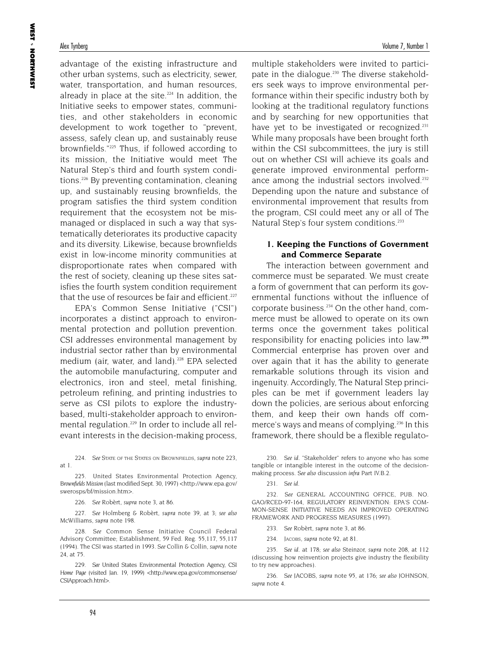### Alex Tynberg Volume 7, Number 1

advantage of the existing infrastructure and other urban systems, such as electricity, sewer, water, transportation, and human resources, already in place at the site. $224$  In addition, the Initiative seeks to empower states, communities, and other stakeholders in economic development to work together to "prevent, assess, safely clean up, and sustainably reuse brownfields."225 Thus, if followed according to its mission, the Initiative would meet The Natural Step's third and fourth system conditions.<sup>226</sup> By preventing contamination, cleaning up, and sustainably reusing brownfields, the program satisfies the third system condition requirement that the ecosystem not be mismanaged or displaced in such a way that systematically deteriorates its productive capacity and its diversity. Likewise, because brownfields exist in low-income minority communities at disproportionate rates when compared with the rest of society, cleaning up these sites satisfies the fourth system condition requirement that the use of resources be fair and efficient.<sup>227</sup>

EPA's Common Sense Initiative ("CSI") incorporates a distinct approach to environmental protection and pollution prevention. CSI addresses environmental management by industrial sector rather than by environmental medium (air, water, and land).<sup>228</sup> EPA selected the automobile manufacturing, computer and electronics, iron and steel, metal finishing, petroleum refining, and printing industries to serve as CSI pilots to explore the industrybased, multi-stakeholder approach to environmental regulation.<sup>229</sup> In order to include all relevant interests in the decision-making process,

224. *See* STATE OF THE STATES ON BROWNFIELDS, *supra* note 223, at 1.

225. United States Environmental Protection Agency, *Brownfields Mission* (last modified Sept. 30, 1997) <http://www.epa.gov/ swerosps/bf/mission.htm>.

226. *See* Robèrt, *supra* note 3, at 86.

227. *See* Holmberg & Robèrt, *supra* note 39, at 3; *see also* McWilliams, *supra* note 198.

228. *See* Common Sense Initiative Council Federal Advisory Committee; Establishment, 59 Fed. Reg. 55,117, 55,117 (1994). The CSI was started in 1993. *See* Collin & Collin, *supra* note 24, at 75.

229. *See* United States Environmental Protection Agency, *CSI Home Page* (visited Jan. 19, 1999) <http://www.epa.gov/commonsense/ CSIApproach.html>.

multiple stakeholders were invited to participate in the dialogue.<sup>230</sup> The diverse stakeholders seek ways to improve environmental performance within their specific industry both by looking at the traditional regulatory functions and by searching for new opportunities that have yet to be investigated or recognized.<sup>231</sup> While many proposals have been brought forth within the CSI subcommittees, the jury is still out on whether CSI will achieve its goals and generate improved environmental performance among the industrial sectors involved.<sup>232</sup> Depending upon the nature and substance of environmental improvement that results from the program, CSI could meet any or all of The Natural Step's four system conditions.<sup>233</sup>

### **1. Keeping the Functions of Government and Commerce Separate**

The interaction between government and commerce must be separated. We must create a form of government that can perform its governmental functions without the influence of corporate business.<sup>234</sup> On the other hand, commerce must be allowed to operate on its own terms once the government takes political responsibility for enacting policies into law.**<sup>235</sup>** Commercial enterprise has proven over and over again that it has the ability to generate remarkable solutions through its vision and ingenuity. Accordingly, The Natural Step principles can be met if government leaders lay down the policies, are serious about enforcing them, and keep their own hands off commerce's ways and means of complying.<sup>236</sup> In this framework, there should be a flexible regulato-

230. *See id*. "Stakeholder" refers to anyone who has some tangible or intangible interest in the outcome of the decisionmaking process. *See also* discussion *infra* Part IV.B.2.

232. *See* GENERAL ACCOUNTING OFFICE, PUB. NO. GAO/RCED-97-164, REGULATORY REINVENTION: EPA'S COM-MON-SENSE INITIATIVE NEEDS AN IMPROVED OPERATING FRAMEWORK AND PROGRESS MEASURES (1997).

233. *See* Robèrt, *supra* note 3, at 86.

234. JACOBS, *supra* note 92, at 81.

235. *See id*. at 178; *see also* Steinzor, *supra* note 208, at 112 (discussing how reinvention projects give industry the flexibility to try new approaches).

236. *See JACOBS*, *supra* note 95, at 176; *see also JOHNSON*, *supra* note 4.

<sup>231.</sup> *See id*.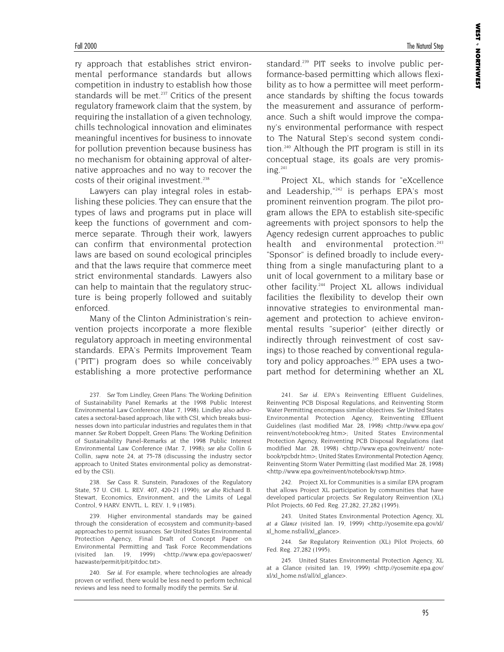**WEST** 

NORTHWEST

ry approach that establishes strict environmental performance standards but allows competition in industry to establish how those standards will be met.<sup>237</sup> Critics of the present regulatory framework claim that the system, by requiring the installation of a given technology, chills technological innovation and eliminates meaningful incentives for business to innovate for pollution prevention because business has no mechanism for obtaining approval of alternative approaches and no way to recover the costs of their original investment.<sup>238</sup>

Lawyers can play integral roles in establishing these policies. They can ensure that the types of laws and programs put in place will keep the functions of government and commerce separate. Through their work, lawyers can confirm that environmental protection laws are based on sound ecological principles and that the laws require that commerce meet strict environmental standards. Lawyers also can help to maintain that the regulatory structure is being properly followed and suitably enforced.

Many of the Clinton Administration's reinvention projects incorporate a more flexible regulatory approach in meeting environmental standards. EPA's Permits Improvement Team ("PIT") program does so while conceivably establishing a more protective performance

238. *See* Cass R. Sunstein, Paradoxes of the Regulatory State, 57 U. CHI. L. REV. 407, 420-21 (1990); *see also* Richard B. Stewart, Economics, Environment, and the Limits of Legal Control, 9 HARV. ENVTL. L. REV. 1, 9 (1985).

239. Higher environmental standards may be gained through the consideration of ecosystem and community-based approaches to permit issuances. *See* United States Environmental Protection Agency, Final Draft of Concept Paper on Environmental Permitting and Task Force Recommendations (visited Jan. 19, 1999) <http://www.epa.gov/epaoswer/ hazwaste/permit/pit/pitdoc.txt>.

240. *See id*. For example, where technologies are already proven or verified, there would be less need to perform technical reviews and less need to formally modify the permits. *See id*.

standard.<sup>239</sup> PIT seeks to involve public performance-based permitting which allows flexibility as to how a permittee will meet performance standards by shifting the focus towards the measurement and assurance of performance. Such a shift would improve the company's environmental performance with respect to The Natural Step's second system condition.<sup>240</sup> Although the PIT program is still in its conceptual stage, its goals are very promis $ine<sup>.241</sup>$ 

Project XL, which stands for "eXcellence and Leadership,"<sup>242</sup> is perhaps EPA's most prominent reinvention program. The pilot program allows the EPA to establish site-specific agreements with project sponsors to help the Agency redesign current approaches to public health and environmental protection.<sup>243</sup> "Sponsor" is defined broadly to include everything from a single manufacturing plant to a unit of local government to a military base or other facility.244 Project XL allows individual facilities the flexibility to develop their own innovative strategies to environmental management and protection to achieve environmental results "superior" (either directly or indirectly through reinvestment of cost savings) to those reached by conventional regulatory and policy approaches.<sup>245</sup> EPA uses a twopart method for determining whether an XL

241. *See id*. EPA's Reinventing Effluent Guidelines, Reinventing PCB Disposal Regulations, and Reinventing Storm Water Permitting encompass similar objectives. *See* United States Environmental Protection Agency, Reinventing Effluent Guidelines (last modified Mar. 28, 1998) <http://www.epa.gov/ reinvent/notebook/reg.htm>; United States Environmental Protection Agency, Reinventing PCB Disposal Regulations (last modified Mar. 28, 1998) <http://www.epa.gov/reinvent/ notebook/rpcbdr.htm>; United States Environmental Protection Agency, Reinventing Storm Water Permitting (last modified Mar. 28, 1998) <http://www.epa.gov/reinvent/notebook/rswp.htm>.

242. Project XL for Communities is a similar EPA program that allows Project XL participation by communities that have developed particular projects. *See* Regulatory Reinvention (XL) Pilot Projects, 60 Fed. Reg. 27,282, 27,282 (1995).

243. United States Environmental Protection Agency, *XL at a Glance* (visited Jan. 19, 1999) <http://yosemite.epa.gov/xl/ xl\_home.nsf/all/xl\_glance>.

244. *See* Regulatory Reinvention (XL) Pilot Projects, 60 Fed. Reg. 27,282 (1995).

245. United States Environmental Protection Agency, XL at a Glance (visited Jan. 19, 1999) <http://yosemite.epa.gov/ xl/xl\_home.nsf/all/xl\_glance>.

<sup>237.</sup> *See* Tom Lindley, Green Plans: The Working Definition of Sustainability Panel Remarks at the 1998 Public Interest Environmental Law Conference (Mar. 7, 1998). Lindley also advocates a sectoral-based approach, like with CSI, which breaks businesses down into particular industries and regulates them in that manner. *See* Robert Doppelt, Green Plans: The Working Definition of Sustainability Panel-Remarks at the 1998 Public Interest Environmental Law Conference (Mar. 7, 1998); *see also* Collin & Collin, *supra* note 24, at 75-78 (discussing the industry sector approach to United States environmental policy as demonstrated by the CSI)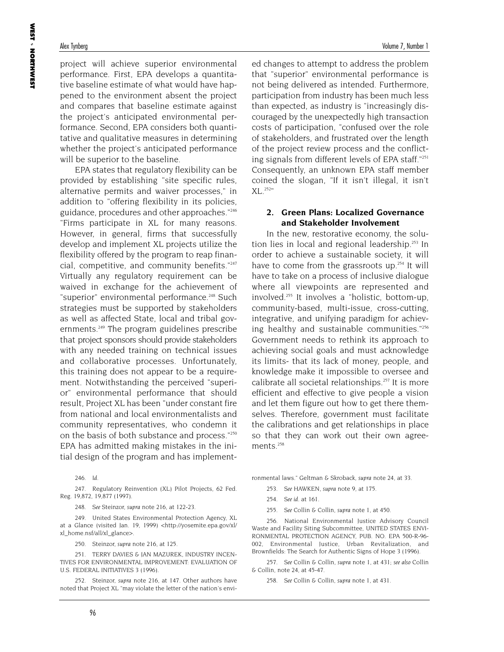**WEST** 

NORTHWEST

project will achieve superior environmental performance. First, EPA develops a quantitative baseline estimate of what would have happened to the environment absent the project and compares that baseline estimate against the project's anticipated environmental performance. Second, EPA considers both quantitative and qualitative measures in determining whether the project's anticipated performance will be superior to the baseline.

EPA states that regulatory flexibility can be provided by establishing "site specific rules, alternative permits and waiver processes," in addition to "offering flexibility in its policies, guidance, procedures and other approaches."<sup>246</sup> "Firms participate in XL for many reasons. However, in general, firms that successfully develop and implement XL projects utilize the flexibility offered by the program to reap financial, competitive, and community benefits."247 Virtually any regulatory requirement can be waived in exchange for the achievement of "superior" environmental performance.<sup>248</sup> Such strategies must be supported by stakeholders as well as affected State, local and tribal governments.249 The program guidelines prescribe that project sponsors should provide stakeholders with any needed training on technical issues and collaborative processes. Unfortunately, this training does not appear to be a requirement. Notwithstanding the perceived "superior" environmental performance that should result, Project XL has been "under constant fire from national and local environmentalists and community representatives, who condemn it on the basis of both substance and process."250 EPA has admitted making mistakes in the initial design of the program and has implement-

246. *Id*.

247. Regulatory Reinvention (XL) Pilot Projects, 62 Fed. Reg. 19,872, 19,877 (1997).

248. *See* Steinzor, *supra* note 216, at 122-23.

249. United States Environmental Protection Agency, XL at a Glance (visited Jan. 19, 1999) <http://yosemite.epa.gov/xl/ xl\_home.nsf/all/xl\_glance>.

250. Steinzor, *supra* note 216, at 125.

251. TERRY DAVIES & JAN MAZUREK, INDUSTRY INCEN-TIVES FOR ENVIRONMENTAL IMPROVEMENT: EVALUATION OF U.S. FEDERAL INITIATIVES 3 (1996).

252. Steinzor, *supra* note 216, at 147. Other authors have noted that Project XL "may violate the letter of the nation's envied changes to attempt to address the problem that "superior" environmental performance is not being delivered as intended. Furthermore, participation from industry has been much less than expected, as industry is "increasingly discouraged by the unexpectedly high transaction costs of participation, "confused over the role of stakeholders, and frustrated over the length of the project review process and the conflicting signals from different levels of EPA staff."251 Consequently, an unknown EPA staff member coined the slogan, "If it isn't illegal, it isn't XL.252"

### **2. Green Plans: Localized Governance and Stakeholder Involvement**

In the new, restorative economy, the solution lies in local and regional leadership.<sup>253</sup> In order to achieve a sustainable society, it will have to come from the grassroots up.<sup>254</sup> It will have to take on a process of inclusive dialogue where all viewpoints are represented and involved.255 It involves a "holistic, bottom-up, community-based, multi-issue, cross-cutting, integrative, and unifying paradigm for achieving healthy and sustainable communities."256 Government needs to rethink its approach to achieving social goals and must acknowledge its limits- that its lack of money, people, and knowledge make it impossible to oversee and calibrate all societal relationships.<sup>257</sup> It is more efficient and effective to give people a vision and let them figure out how to get there themselves. Therefore, government must facilitate the calibrations and get relationships in place so that they can work out their own agreements.<sup>258</sup>

ronmental laws." Geltman & Skroback, *supra* note 24, at 33.

- 253. *See* HAWKEN, *supra* note 9, at 175.
- 254. *See id*. at 161.
- 255. *See* Collin & Collin, *supra* note 1, at 450.

256. National Environmental Justice Advisory Council Waste and Facility Siting Subcommittee, UNITED STATES ENVI-RONMENTAL PROTECTION AGENCY, PUB. NO. EPA 500-R-96- 002, Environmental Justice, Urban Revitalization, and Brownfields: The Search for Authentic Signs of Hope 3 (1996).

257. *See* Collin & Collin, *supra* note 1, at 431; *see also* Collin & Collin, note 24, at 45-47.

258. *See* Collin & Collin, *supra* note 1, at 431.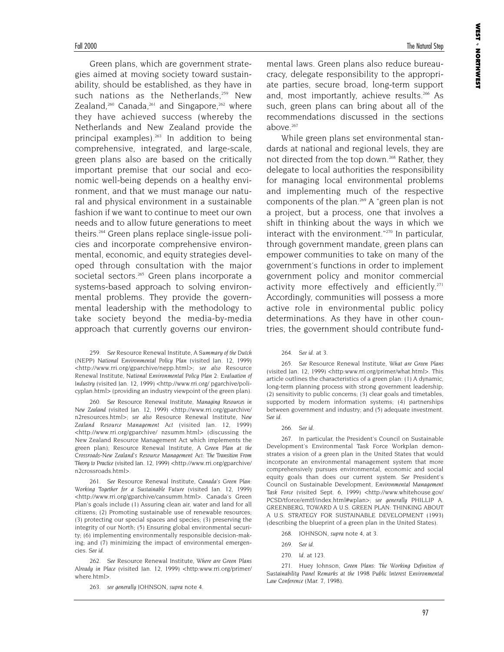Green plans, which are government strategies aimed at moving society toward sustainability, should be established, as they have in such nations as the Netherlands, $259$  New Zealand,<sup>260</sup> Canada,<sup>261</sup> and Singapore,<sup>262</sup> where they have achieved success (whereby the Netherlands and New Zealand provide the principal examples).<sup>263</sup> In addition to being comprehensive, integrated, and large-scale, green plans also are based on the critically important premise that our social and economic well-being depends on a healthy environment, and that we must manage our natural and physical environment in a sustainable fashion if we want to continue to meet our own needs and to allow future generations to meet theirs.264 Green plans replace single-issue policies and incorporate comprehensive environmental, economic, and equity strategies developed through consultation with the major societal sectors.<sup>265</sup> Green plans incorporate a systems-based approach to solving environmental problems. They provide the governmental leadership with the methodology to take society beyond the media-by-media approach that currently governs our environ-

259. *See* Resource Renewal Institute, *A Summary of the Dutch (NEPP) National Environmental Policy Plan* (visited Jan. 12, 1999) <http://www.rri.org/gparchive/nepp.html>; *see also* Resource Renewal Institute, *National Environmental Policy Plan 2: Evaluation of Industry* (visited Jan. 12, 1999) <http://www.rri.org/ pgarchive/policyplan.html> (providing an industry viewpoint of the green plan).

260. *See* Resource Renewal Institute, *Managing Resources in New Zealand* (visited Jan. 12, 1999) <http://www.rri.org/gparchive/ n2resources.html>; *see also* Resource Renewal Institute, *New Zealand Resource Management Act* (visited Jan. 12, 1999) <http://www.rri.org/gparchive/ nzsumm.html> (discussing the New Zealand Resource Management Act which implements the green plan); Resource Renewal Institute, *A Green Plan at the Crossroads-New Zealand's Resource Management Act: The Transition From Theory to Practice* (visited Jan. 12, 1999) <http://www.rri.org/gparchive/ n2crossroads.html>.

261. *See* Resource Renewal Institute, *Canada's Green Plan: Working Together for a Sustainable Future* (visited Jan. 12, 1999) <http://www.rri.org/gparchive/cansumm.html>. Canada's Green Plan's goals include (1) Assuring clean air, water and land for all citizens; (2) Promoting sustainable use of renewable resources; (3) protecting our special spaces and species; (3) preserving the integrity of our North; (5) Ensuring global environmental security; (6) implementing environmentally responsible decision-making; and (7) minimizing the impact of environmental emergencies. *See id*.

262. *See* Resource Renewal Institute, *Where are Green Plans Already in Place* (visited Jan. 12, 1999) <http:www.rri.org/primer/ where.html>.

263. *see generally* JOHNSON, *supra* note 4.

mental laws. Green plans also reduce bureaucracy, delegate responsibility to the appropriate parties, secure broad, long-term support and, most importantly, achieve results.<sup>266</sup> As such, green plans can bring about all of the recommendations discussed in the sections above. $267$ 

While green plans set environmental standards at national and regional levels, they are not directed from the top down.<sup>268</sup> Rather, they delegate to local authorities the responsibility for managing local environmental problems and implementing much of the respective components of the plan.<sup>269</sup> A "green plan is not a project, but a process, one that involves a shift in thinking about the ways in which we interact with the environment."<sup>270</sup> In particular, through government mandate, green plans can empower communities to take on many of the government's functions in order to implement government policy and monitor commercial activity more effectively and efficiently.<sup>271</sup> Accordingly, communities will possess a more active role in environmental public policy determinations. As they have in other countries, the government should contribute fund-

265. *See* Resource Renewal Institute, *What are Green Plans* (visited Jan. 12, 1999) <http:www.rri.org/primer/what.html>. This article outlines the characteristics of a green plan: (1) A dynamic, long-term planning process with strong government leadership; (2) sensitivity to public concerns; (3) clear goals and timetables, supported by modern information systems; (4) partnerships between government and industry; and (5) adequate investment. *See id*.

### 266. *See id*.

267. In particular, the President's Council on Sustainable Development's Environmental Task Force Workplan demonstrates a vision of a green plan in the United States that would incorporate an environmental management system that more comprehensively pursues environmental, economic and social equity goals than does our current system. *See* President's Council on Sustainable Development, *Environmental Management Task Force* (visited Sept. 6, 1999) <http://www.whitehouse.gov/ PCSD/tforce/emtf/index.html#wplan>; *see generally* PHILLIP A. GREENBERG, TOWARD A U.S. GREEN PLAN: THINKING ABOUT A U.S. STRATEGY FOR SUSTAINABLE DEVELOPMENT (1993) (describing the blueprint of a green plan in the United States).

271. Huey Johnson, *Green Plans: The Working Definition of Sustainability Panel Remarks at the 1998 Public Interest Environmental Law Conference* (Mar. 7, 1998).

<sup>264.</sup> *See id*. at 3.

<sup>268.</sup> JOHNSON, *supra* note 4, at 3.

<sup>269.</sup> *See id*.

<sup>270.</sup> *Id*. at 123.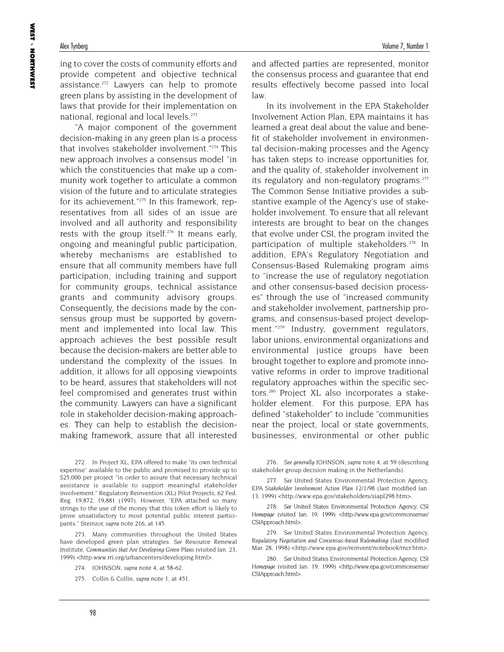ing to cover the costs of community efforts and provide competent and objective technical assistance.<sup>272</sup> Lawyers can help to promote green plans by assisting in the development of laws that provide for their implementation on national, regional and local levels.<sup>273</sup>

"A major component of the government decision-making in any green plan is a process that involves stakeholder involvement."274 This new approach involves a consensus model "in which the constituencies that make up a community work together to articulate a common vision of the future and to articulate strategies for its achievement."275 In this framework, representatives from all sides of an issue are involved and all authority and responsibility rests with the group itself.<sup>276</sup> It means early, ongoing and meaningful public participation, whereby mechanisms are established to ensure that all community members have full participation, including training and support for community groups, technical assistance grants and community advisory groups. Consequently, the decisions made by the consensus group must be supported by government and implemented into local law. This approach achieves the best possible result because the decision-makers are better able to understand the complexity of the issues. In addition, it allows for all opposing viewpoints to be heard, assures that stakeholders will not feel compromised and generates trust within the community. Lawyers can have a significant role in stakeholder decision-making approaches. They can help to establish the decisionmaking framework, assure that all interested

272. In Project XL, EPA offered to make "its own technical expertise" available to the public and promised to provide up to \$25,000 per project "in order to assure that necessary technical assistance is available to support meaningful stakeholder involvement." Regulatory Reinvention (XL) Pilot Projects, 62 Fed. Reg. 19,872, 19,881 (1997). However, "EPA attached so many strings to the use of the money that this token effort is likely to prove unsatisfactory to most potential public interest participants." Steinzor, *supra* note 216, at 145.

273. Many communities throughout the United States have developed green plan strategies. *See* Resource Renewal Institute, *Communities that Are Developing Green Plans* (visited Jan. 23, 1999) <http:www.rri.org/urbancenters/developing.html>.

and affected parties are represented, monitor the consensus process and guarantee that end results effectively become passed into local law.

In its involvement in the EPA Stakeholder Involvement Action Plan, EPA maintains it has learned a great deal about the value and benefit of stakeholder involvement in environmental decision-making processes and the Agency has taken steps to increase opportunities for, and the quality of, stakeholder involvement in its regulatory and non-regulatory programs.<sup>277</sup> The Common Sense Initiative provides a substantive example of the Agency's use of stakeholder involvement. To ensure that all relevant interests are brought to bear on the changes that evolve under CSI, the program invited the participation of multiple stakeholders.<sup>278</sup> In addition, EPA's Regulatory Negotiation and Consensus-Based Rulemaking program aims to "increase the use of regulatory negotiation and other consensus-based decision processes" through the use of "increased community and stakeholder involvement, partnership programs, and consensus-based project development."279 Industry, government regulators, labor unions, environmental organizations and environmental justice groups have been brought together to explore and promote innovative reforms in order to improve traditional regulatory approaches within the specific sectors.280 Project XL also incorporates a stakeholder element. For this purpose, EPA has defined "stakeholder" to include "communities near the project, local or state governments, businesses, environmental or other public

276. *See generally* JOHNSON, *supra* note 4, at 59 (describing stakeholder group decision making in the Netherlands).

- 277. *See* United States Environmental Protection Agency, *EPA Stakeholder Involvement Action Plan 12/1/98* (last modified Jan. 13, 1999) <http://www.epa.gov/stakeholders/siapl298.htm>.
- 278. *See* United States Environmental Protection Agency, *CSI Homepage* (visited Jan. 19, 1999) <http://www.epa.gov/commonsense/ CSIApproach.html>.

279. *See* United States Environmental Protection Agency, *Regulatory Negotiation and Consensus-based Rulemaking* (last modified Mar. 28, 1998) <http://www.epa.gov/reinvent/notebook/rncr.htm>.

280. *See* United States Environmental Protection Agency, *CSI Homepage* (visited Jan. 19, 1999) <http://www.epa.gov/commonsense/ CSIApproach.html>.

<sup>274.</sup> JOHNSON, *supra* note 4, at 58-62.

<sup>275.</sup> Collin & Collin, *supra* note 1, at 451.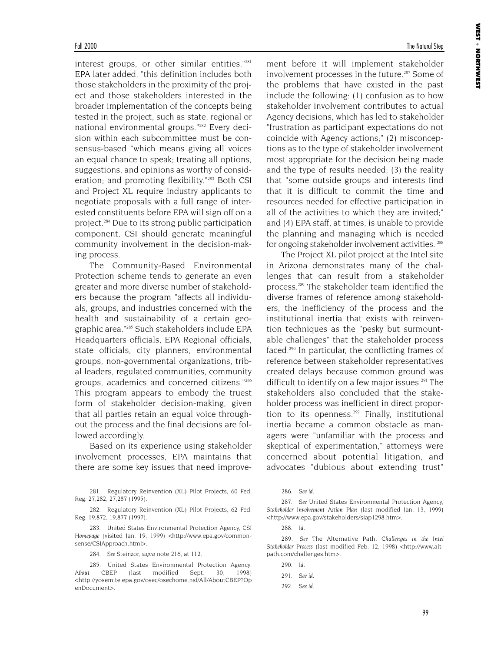interest groups, or other similar entities."281 EPA later added, "this definition includes both those stakeholders in the proximity of the project and those stakeholders interested in the broader implementation of the concepts being tested in the project, such as state, regional or national environmental groups."<sup>282</sup> Every decision within each subcommittee must be consensus-based "which means giving all voices an equal chance to speak; treating all options, suggestions, and opinions as worthy of consideration; and promoting flexibility."<sup>283</sup> Both CSI and Project XL require industry applicants to negotiate proposals with a full range of interested constituents before EPA will sign off on a project.284 Due to its strong public participation component, CSI should generate meaningful community involvement in the decision-making process.

The Community-Based Environmental Protection scheme tends to generate an even greater and more diverse number of stakeholders because the program "affects all individuals, groups, and industries concerned with the health and sustainability of a certain geographic area."285 Such stakeholders include EPA Headquarters officials, EPA Regional officials, state officials, city planners, environmental groups, non-governmental organizations, tribal leaders, regulated communities, community groups, academics and concerned citizens."286 This program appears to embody the truest form of stakeholder decision-making, given that all parties retain an equal voice throughout the process and the final decisions are followed accordingly.

Based on its experience using stakeholder involvement processes, EPA maintains that there are some key issues that need improve-

281. Regulatory Reinvention (XL) Pilot Projects, 60 Fed. Reg. 27,282, 27,287 (1995).

282. Regulatory Reinvention (XL) Pilot Projects, 62 Fed. Reg. 19,872, 19,877 (1997).

283. United States Environmental Protection Agency, *CSI Homepage* (visited Jan. 19, 1999) <http://www.epa.gov/commonsense/CSIApproach.html>.

284. *See* Steinzor, *supra* note 216, at 112.

285. United States Environmental Protection Agency, *About CBEP* (last modified Sept. 30, 1998) <http://yosemite.epa.gov/osec/osechome.nsf/All/AboutCBEP?Op enDocument>.

ment before it will implement stakeholder involvement processes in the future.<sup>287</sup> Some of the problems that have existed in the past include the following: (1) confusion as to how stakeholder involvement contributes to actual Agency decisions, which has led to stakeholder "frustration as participant expectations do not coincide with Agency actions;" (2) misconceptions as to the type of stakeholder involvement most appropriate for the decision being made and the type of results needed; (3) the reality that "some outside groups and interests find that it is difficult to commit the time and resources needed for effective participation in all of the activities to which they are invited;" and (4) EPA staff, at times, is unable to provide the planning and managing which is needed for ongoing stakeholder involvement activities. <sup>288</sup>

The Project XL pilot project at the Intel site in Arizona demonstrates many of the challenges that can result from a stakeholder process.289 The stakeholder team identified the diverse frames of reference among stakeholders, the inefficiency of the process and the institutional inertia that exists with reinvention techniques as the "pesky but surmountable challenges" that the stakeholder process faced.290 In particular, the conflicting frames of reference between stakeholder representatives created delays because common ground was difficult to identify on a few major issues.<sup>291</sup> The stakeholders also concluded that the stakeholder process was inefficient in direct proportion to its openness. $292$  Finally, institutional inertia became a common obstacle as managers were "unfamiliar with the process and skeptical of experimentation," attorneys were concerned about potential litigation, and advocates "dubious about extending trust"

287. *See* United States Environmental Protection Agency, *Stakeholder Involvement Action Plan* (last modified Jan. 13, 1999) <http://www.epa.gov/stakeholders/siap1298.htm>.

288. *Id*.

289. *See* The Alternative Path, *Challenges in the Intel Stakeholder Process* (last modified Feb. 12, 1998) <http://www.altpath.com/challenges.htm>.

290. *Id*. 291. *See id*.

<sup>286.</sup> *See id*.

<sup>292.</sup> *See id*.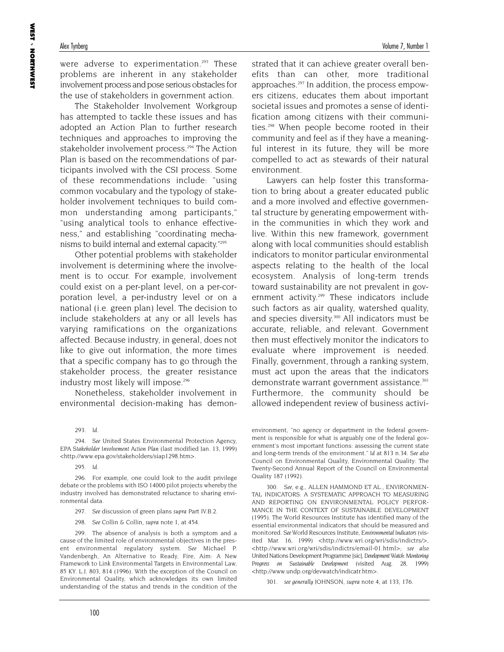were adverse to experimentation.<sup>293</sup> These problems are inherent in any stakeholder involvement process and pose serious obstacles for the use of stakeholders in government action.

The Stakeholder Involvement Workgroup has attempted to tackle these issues and has adopted an Action Plan to further research techniques and approaches to improving the stakeholder involvement process.<sup>294</sup> The Action Plan is based on the recommendations of participants involved with the CSI process. Some of these recommendations include: "using common vocabulary and the typology of stakeholder involvement techniques to build common understanding among participants," "using analytical tools to enhance effectiveness," and establishing "coordinating mechanisms to build internal and external capacity."295

Other potential problems with stakeholder involvement is determining where the involvement is to occur. For example, involvement could exist on a per-plant level, on a per-corporation level, a per-industry level or on a national (i.e. green plan) level. The decision to include stakeholders at any or all levels has varying ramifications on the organizations affected. Because industry, in general, does not like to give out information, the more times that a specific company has to go through the stakeholder process, the greater resistance industry most likely will impose.<sup>296</sup>

Nonetheless, stakeholder involvement in environmental decision-making has demon-

294. *See* United States Environmental Protection Agency, *EPA Stakeholder Involvement Action Plan* (last modified Jan. 13, 1999) <http://www.epa.gov/stakeholders/siap1298.htm>.

295. *Id*.

296. For example, one could look to the audit privilege debate or the problems with ISO 14000 pilot projects whereby the industry involved has demonstrated reluctance to sharing environmental data.

- 297. *See* discussion of green plans *supra* Part IV.B.2.
- 298. *See* Collin & Collin, *supra* note 1, at 454.

299. The absence of analysis is both a symptom and a cause of the limited role of environmental objectives in the present environmental regulatory system. *See* Michael P. Vandenbergh, An Alternative to Ready, Fire, Aim: A New Framework to Link Environmental Targets in Environmental Law, 85 KY. L.J. 803, 814 (1996). With the exception of the Council on Environmental Quality, which acknowledges its own limited understanding of the status and trends in the condition of the

strated that it can achieve greater overall benefits than can other, more traditional approaches.297 In addition, the process empowers citizens, educates them about important societal issues and promotes a sense of identification among citizens with their communities.298 When people become rooted in their community and feel as if they have a meaningful interest in its future, they will be more compelled to act as stewards of their natural environment.

Lawyers can help foster this transformation to bring about a greater educated public and a more involved and effective governmental structure by generating empowerment within the communities in which they work and live. Within this new framework, government along with local communities should establish indicators to monitor particular environmental aspects relating to the health of the local ecosystem. Analysis of long-term trends toward sustainability are not prevalent in government activity.<sup>299</sup> These indicators include such factors as air quality, watershed quality, and species diversity.<sup>300</sup> All indicators must be accurate, reliable, and relevant. Government then must effectively monitor the indicators to evaluate where improvement is needed. Finally, government, through a ranking system, must act upon the areas that the indicators demonstrate warrant government assistance.<sup>301</sup> Furthermore, the community should be allowed independent review of business activi-

environment, "no agency or department in the federal government is responsible for what is arguably one of the federal government's most important functions: assessing the current state and long-term trends of the environment." *Id* at 813 n.34. *See also* Council on Environmental Quality, Environmental Quality: The Twenty-Second Annual Report of the Council on Environmental Quality 187 (1992).

300. *See*, e.g., ALLEN HAMMOND ET AL., ENVIRONMEN-TAL INDICATORS: A SYSTEMATIC APPROACH TO MEASURING AND REPORTING ON ENVIRONMENTAL POLICY PERFOR-MANCE IN THE CONTEXT OF SUSTAINABLE DEVELOPMENT (1995). The World Resources Institute has identified many of the essential environmental indicators that should be measured and monitored. *See* World Resources Institute, *Environmental Indicators* (visited Mar. 16, 1999) <http://www.wri.org/wri/sdis/indictrs/>, <http://www.wri.org/wri/sdis/indictrs/email-01.html>; *see also* United Nations Development Programme [sic]*, Development Watch: Monitoring Progress on Sustainable Development* (visited Aug. 28, 1999) <http://www.undp.org/devwatch/indicatr.htm>.

301. *see generally* JOHNSON, *supra* note 4, at 133, 176.

<sup>293.</sup> *Id*.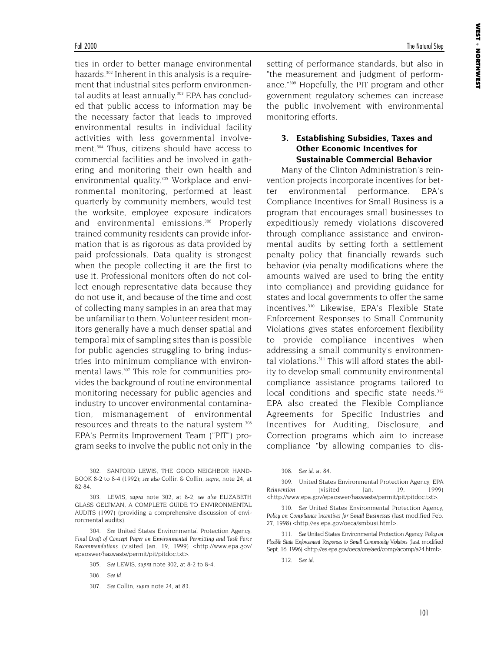ties in order to better manage environmental hazards.<sup>302</sup> Inherent in this analysis is a requirement that industrial sites perform environmental audits at least annually.<sup>303</sup> EPA has concluded that public access to information may be the necessary factor that leads to improved environmental results in individual facility activities with less governmental involvement.304 Thus, citizens should have access to commercial facilities and be involved in gathering and monitoring their own health and environmental quality.<sup>305</sup> Workplace and environmental monitoring, performed at least quarterly by community members, would test the worksite, employee exposure indicators and environmental emissions.<sup>306</sup> Properly trained community residents can provide information that is as rigorous as data provided by paid professionals. Data quality is strongest when the people collecting it are the first to use it. Professional monitors often do not collect enough representative data because they do not use it, and because of the time and cost of collecting many samples in an area that may be unfamiliar to them. Volunteer resident monitors generally have a much denser spatial and temporal mix of sampling sites than is possible for public agencies struggling to bring industries into minimum compliance with environmental laws.307 This role for communities provides the background of routine environmental monitoring necessary for public agencies and industry to uncover environmental contamination, mismanagement of environmental resources and threats to the natural system.<sup>308</sup> EPA's Permits Improvement Team ("PIT") program seeks to involve the public not only in the

302. SANFORD LEWIS, THE GOOD NEIGHBOR HAND-BOOK 8-2 to 8-4 (1992); *see also* Collin & Collin, *supra*, note 24, at 82-84.

303. LEWIS, *supra* note 302, at 8-2; *see also* ELIZABETH GLASS GELTMAN, A COMPLETE GUIDE TO ENVIRONMENTAL AUDITS (1997) (providing a comprehensive discussion of environmental audits).

304. *See* United States Environmental Protection Agency, *Final Draft of Concept Paper on Environmental Permitting and Task Force Recommendations* (visited Jan. 19, 1999) <http://www.epa.gov/ epaoswer/hazwaste/permit/pit/pitdoc.txt>.

305. *See* LEWIS, *supra* note 302, at 8-2 to 8-4.

306. *See id*.

307. *See* Collin, *supra* note 24, at 83.

setting of performance standards, but also in "the measurement and judgment of performance."309 Hopefully, the PIT program and other government regulatory schemes can increase the public involvement with environmental monitoring efforts.

### **3. Establishing Subsidies, Taxes and Other Economic Incentives for Sustainable Commercial Behavior**

Many of the Clinton Administration's reinvention projects incorporate incentives for better environmental performance. EPA's Compliance Incentives for Small Business is a program that encourages small businesses to expeditiously remedy violations discovered through compliance assistance and environmental audits by setting forth a settlement penalty policy that financially rewards such behavior (via penalty modifications where the amounts waived are used to bring the entity into compliance) and providing guidance for states and local governments to offer the same incentives.310 Likewise, EPA's Flexible State Enforcement Responses to Small Community Violations gives states enforcement flexibility to provide compliance incentives when addressing a small community's environmental violations.<sup>311</sup> This will afford states the ability to develop small community environmental compliance assistance programs tailored to local conditions and specific state needs.<sup>312</sup> EPA also created the Flexible Compliance Agreements for Specific Industries and Incentives for Auditing, Disclosure, and Correction programs which aim to increase compliance "by allowing companies to dis-

309. United States Environmental Protection Agency, *EPA Reinvention* (visited Jan. <http://www.epa.gov/epaoswer/hazwaste/permit/pit/pitdoc.txt>.

310. *See* United States Environmental Protection Agency, *Policy on Compliance Incentives for Small Businesses* (last modified Feb. 27, 1998) <http://es.epa.gov/oeca/smbusi.html>.

311. *See* United States Environmental Protection Agency, *Policy on Flexible State Enforcement Responses to Small Community Violators* (last modified Sept. 16, 1996) <http://es.epa.gov/oeca/ore/aed/comp/acomp/a24.html>.

312. *See id*.

<sup>308.</sup> *See id*. at 84.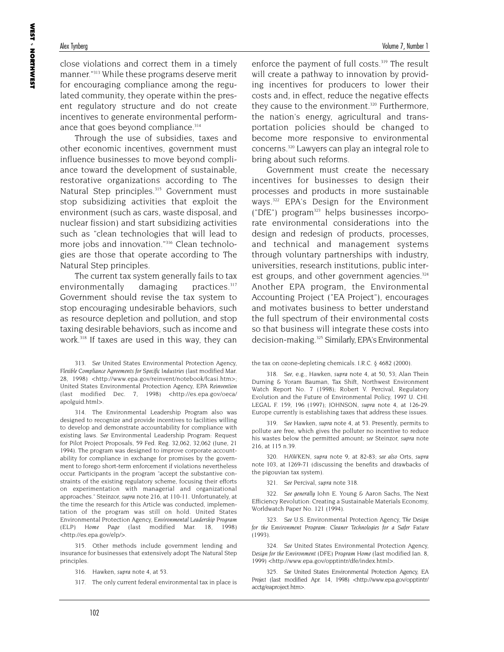close violations and correct them in a timely manner."313 While these programs deserve merit for encouraging compliance among the regulated community, they operate within the present regulatory structure and do not create incentives to generate environmental performance that goes beyond compliance.<sup>314</sup>

Through the use of subsidies, taxes and other economic incentives, government must influence businesses to move beyond compliance toward the development of sustainable, restorative organizations according to The Natural Step principles.<sup>315</sup> Government must stop subsidizing activities that exploit the environment (such as cars, waste disposal, and nuclear fission) and start subsidizing activities such as "clean technologies that will lead to more jobs and innovation."316 Clean technologies are those that operate according to The Natural Step principles.

The current tax system generally fails to tax environmentally damaging practices.<sup>317</sup> Government should revise the tax system to stop encouraging undesirable behaviors, such as resource depletion and pollution, and stop taxing desirable behaviors, such as income and work.<sup>318</sup> If taxes are used in this way, they can

313. *See* United States Environmental Protection Agency, *Flexible Compliance Agreements for Specific Industries* (last modified Mar. 28, 1998) <http://www.epa.gov/reinvent/notebook/fcasi.htm>; United States Environmental Protection Agency, *EPA Reinvention* (last modified Dec. 7, 1998) <http://es.epa.gov/oeca/ apolguid.html>.

314. The Environmental Leadership Program also was designed to recognize and provide incentives to facilities willing to develop and demonstrate accountability for compliance with existing laws. *See* Environmental Leadership Program: Request for Pilot Project Proposals, 59 Fed. Reg. 32,062, 32,062 (June, 21 1994). The program was designed to improve corporate accountability for compliance in exchange for promises by the government to forego short-term enforcement if violations nevertheless occur. Participants in the program "accept the substantive constraints of the existing regulatory scheme, focusing their efforts on experimentation with managerial and organizational approaches." Steinzor, *supra* note 216, at 110-11. Unfortunately, at the time the research for this Article was conducted, implementation of the program was still on hold. United States Environmental Protection Agency, *Environmental Leadership Program (ELP) Home Page* (last modified Mar. 18, 1998) <http://es.epa.gov/elp/>.

315. Other methods include government lending and insurance for businesses that extensively adopt The Natural Step principles.

316. Hawken, *supra* note 4, at 53.

317. The only current federal environmental tax in place is

enforce the payment of full costs.<sup>319</sup> The result will create a pathway to innovation by providing incentives for producers to lower their costs and, in effect, reduce the negative effects they cause to the environment.<sup>320</sup> Furthermore, the nation's energy, agricultural and transportation policies should be changed to become more responsive to environmental concerns.320 Lawyers can play an integral role to bring about such reforms.

Government must create the necessary incentives for businesses to design their processes and products in more sustainable ways.322 EPA's Design for the Environment ("DfE") program<sup>323</sup> helps businesses incorporate environmental considerations into the design and redesign of products, processes, and technical and management systems through voluntary partnerships with industry, universities, research institutions, public interest groups, and other government agencies.<sup>324</sup> Another EPA program, the Environmental Accounting Project ("EA Project"), encourages and motivates business to better understand the full spectrum of their environmental costs so that business will integrate these costs into decision-making.<sup>325</sup> Similarly, EPA's Environmental

the tax on ozone-depleting chemicals. I.R.C. § 4682 (2000).

318. *See*, e.g., Hawken, *supra* note 4, at 50, 53; Alan Thein Durning & Yoram Bauman, Tax Shift, Northwest Environment Watch Report No. 7 (1998); Robert V. Percival, Regulatory Evolution and the Future of Environmental Policy, 1997 U. CHI. LEGAL F. 159, 196 (1997); JOHNSON, *supra* note 4, at 126-29. Europe currently is establishing taxes that address these issues.

319. *See* Hawken, *supra* note 4, at 53. Presently, permits to pollute are free, which gives the polluter no incentive to reduce his wastes below the permitted amount; *see* Steinzor, *supra* note 216, at 115 n.39.

320. HAWKEN, *supra* note 9, at 82-83; *see also* Orts, *supra* note 103, at 1269-71 (discussing the benefits and drawbacks of the pigouvian tax system).

321. *See* Percival, *supra* note 318.

322. *See generally* John E. Young & Aaron Sachs, The Next Efficiency Revolution: Creating a Sustainable Materials Economy, Worldwatch Paper No. 121 (1994).

323. *See* U.S. Environmental Protection Agency, *The Design for the Environment Program: Cleaner Technologies for a Safer Future* (1993).

324. *See* United States Environmental Protection Agency, *Design for the Environment (DFE) Program Home* (last modified Jan. 8, 1999) <http://www.epa.gov/opptintr/dfe/index.html>.

325. *See* United States Environmental Protection Agency, *EA Project* (last modified Apr. 14, 1998) <http://www.epa.gov/opptintr/ acctg/eaproject.htm>.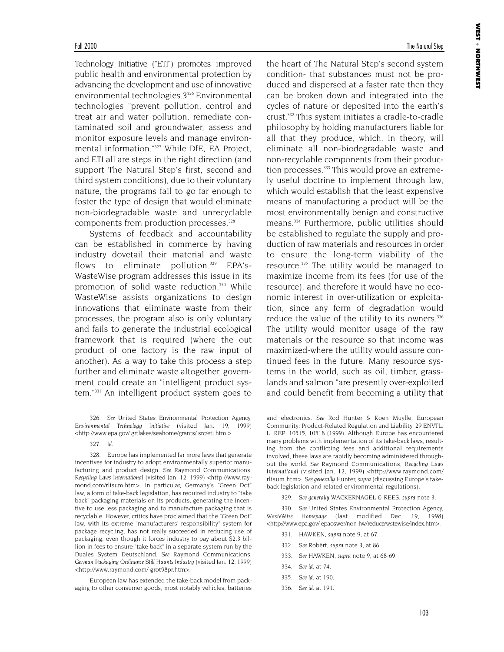Technology Initiative ("ETI") promotes improved public health and environmental protection by advancing the development and use of innovative environmental technologies.<sup>3326</sup> Environmental technologies "prevent pollution, control and treat air and water pollution, remediate contaminated soil and groundwater, assess and monitor exposure levels and manage environmental information."327 While DfE, EA Project, and ETI all are steps in the right direction (and support The Natural Step's first, second and third system conditions), due to their voluntary nature, the programs fail to go far enough to foster the type of design that would eliminate non-biodegradable waste and unrecyclable components from production processes.<sup>328</sup>

Systems of feedback and accountability can be established in commerce by having industry dovetail their material and waste flows to eliminate pollution.<sup>329</sup> EPA's-WasteWise program addresses this issue in its promotion of solid waste reduction.330 While WasteWise assists organizations to design innovations that eliminate waste from their processes, the program also is only voluntary and fails to generate the industrial ecological framework that is required (where the out product of one factory is the raw input of another). As a way to take this process a step further and eliminate waste altogether, government could create an "intelligent product system."331 An intelligent product system goes to

327. *Id*.

European law has extended the take-back model from packaging to other consumer goods, most notably vehicles, batteries **WEST**  NORTHWEST

the heart of The Natural Step's second system condition- that substances must not be produced and dispersed at a faster rate then they can be broken down and integrated into the cycles of nature or deposited into the earth's crust.332 This system initiates a cradle-to-cradle philosophy by holding manufacturers liable for all that they produce, which, in theory, will eliminate all non-biodegradable waste and non-recyclable components from their production processes.<sup>333</sup> This would prove an extremely useful doctrine to implement through law, which would establish that the least expensive means of manufacturing a product will be the most environmentally benign and constructive means.334 Furthermore, public utilities should be established to regulate the supply and production of raw materials and resources in order to ensure the long-term viability of the resource.<sup>335</sup> The utility would be managed to maximize income from its fees (for use of the resource), and therefore it would have no economic interest in over-utilization or exploitation, since any form of degradation would reduce the value of the utility to its owners.<sup>336</sup> The utility would monitor usage of the raw materials or the resource so that income was maximized-where the utility would assure continued fees in the future. Many resource systems in the world, such as oil, timber, grasslands and salmon "are presently over-exploited and could benefit from becoming a utility that

and electronics. *See* Rod Hunter & Koen Muylle, European Community: Product-Related Regulation and Liability, 29 ENVTL. L. REP. 10515, 10518 (1999). Although Europe has encountered many problems with implementation of its take-back laws, resulting from the conflicting fees and additional requirements involved, these laws are rapidly becoming administered throughout the world. *See* Raymond Communications, *Recycling Laws International* (visited Jan. 12, 1999) <http://www.raymond.com/ rlisum.htm>. *See generally* Hunter, *supra* (discussing Europe's takeback legislation and related environmental regulations).

329. *See generally* WACKERNAGEL & REES, *supra* note 3.

330. *See* United States Environmental Protection Agency, *WasteWise Homepage* (last modified Dec. 19, 1998) <http://www.epa.gov/ epaoswer/non-hw/reduce/wstewise/index.htm>.

- 331. HAWKEN, *supra* note 9, at 67.
- 332. *See* Robèrt, *supra* note 3, at 86.
- 333. *See* HAWKEN, *supra* note 9, at 68-69.
- 334. *See id*. at 74.
- 335. *See id*. at 190.
- 336. *See id*. at 191.

<sup>326.</sup> *See* United States Environmental Protection Agency, *Environmental Technology Initiative* (visited Jan. 19, 1999) <http://www.epa.gov/ grtlakes/seahome/grants/ src/eti.htm >.

<sup>328.</sup> Europe has implemented far more laws that generate incentives for industry to adopt environmentally superior manufacturing and product design. *See* Raymond Communications, *Recycling Laws International* (visited Jan. 12, 1999) <http://www.raymond.com/rlisum.htm>. In particular, Germany's "Green Dot" law, a form of take-back legislation, has required industry to "take back" packaging materials on its products, generating the incentive to use less packaging and to manufacture packaging that is recyclable. However, critics have proclaimed that the "Green Dot" law, with its extreme "manufacturers' responsibility" system for package recycling, has not really succeeded in reducing use of packaging, even though it forces industry to pay about \$2.3 billion in fees to ensure "take back" in a separate system run by the Duales System Deutschland. *See* Raymond Communications, *German Packaging Ordinance Still Haunts Industry* (visited Jan. 12, 1999) <http://www.raymond.com/ grot98pr.htm>.